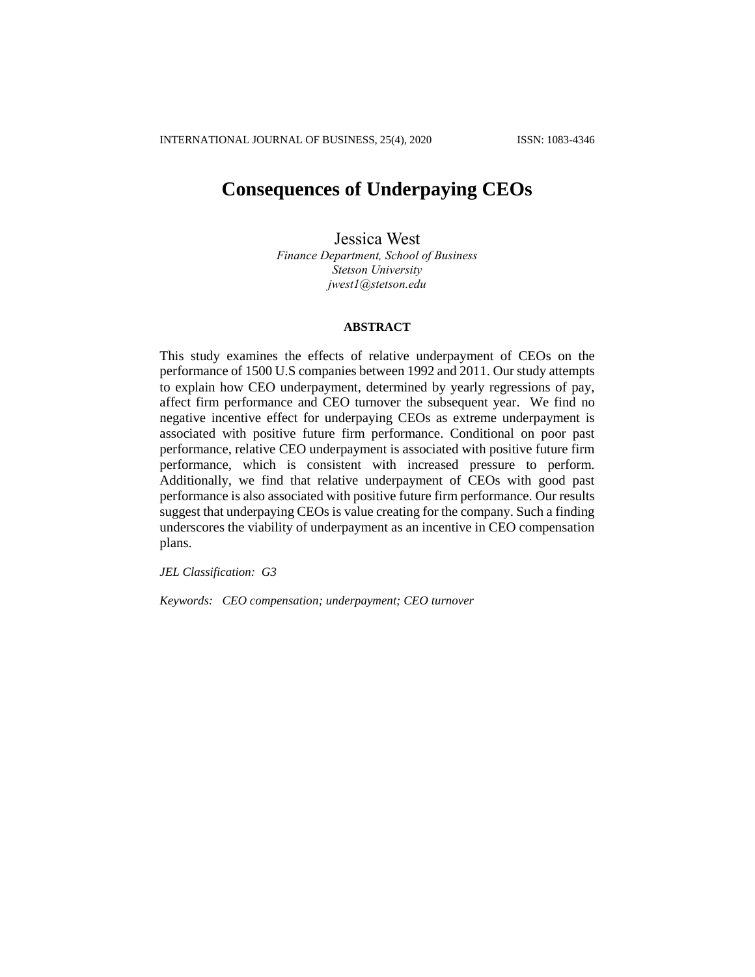# **Consequences of Underpaying CEOs**

Jessica West *Finance Department, School of Business Stetson University [jwest1@stetson.edu](mailto:jwest1@stetson.edu)*

# **ABSTRACT**

This study examines the effects of relative underpayment of CEOs on the performance of 1500 U.S companies between 1992 and 2011. Our study attempts to explain how CEO underpayment, determined by yearly regressions of pay, affect firm performance and CEO turnover the subsequent year. We find no negative incentive effect for underpaying CEOs as extreme underpayment is associated with positive future firm performance. Conditional on poor past performance, relative CEO underpayment is associated with positive future firm performance, which is consistent with increased pressure to perform. Additionally, we find that relative underpayment of CEOs with good past performance is also associated with positive future firm performance. Our results suggest that underpaying CEOs is value creating for the company. Such a finding underscores the viability of underpayment as an incentive in CEO compensation plans.

*JEL Classification: G3*

*Keywords: CEO compensation; underpayment; CEO turnover*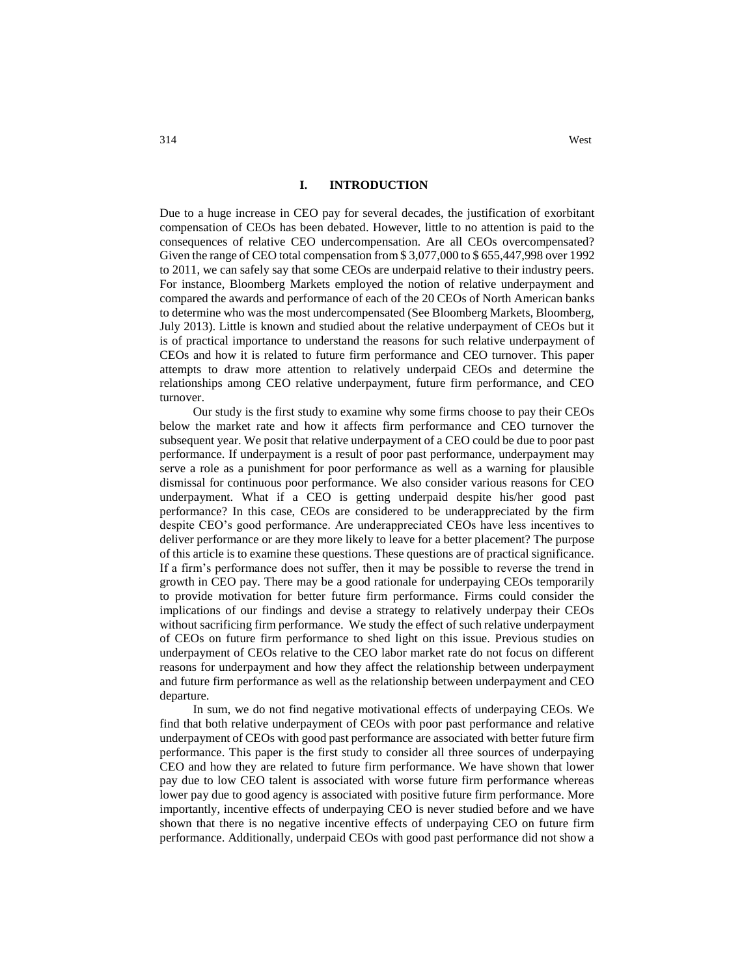Due to a huge increase in CEO pay for several decades, the justification of exorbitant compensation of CEOs has been debated. However, little to no attention is paid to the consequences of relative CEO undercompensation. Are all CEOs overcompensated? Given the range of CEO total compensation from \$ 3,077,000 to \$ 655,447,998 over 1992 to 2011, we can safely say that some CEOs are underpaid relative to their industry peers. For instance, Bloomberg Markets employed the notion of relative underpayment and compared the awards and performance of each of the 20 CEOs of North American banks to determine who was the most undercompensated (See Bloomberg Markets, Bloomberg, July 2013). Little is known and studied about the relative underpayment of CEOs but it is of practical importance to understand the reasons for such relative underpayment of CEOs and how it is related to future firm performance and CEO turnover. This paper attempts to draw more attention to relatively underpaid CEOs and determine the relationships among CEO relative underpayment, future firm performance, and CEO turnover.

Our study is the first study to examine why some firms choose to pay their CEOs below the market rate and how it affects firm performance and CEO turnover the subsequent year. We posit that relative underpayment of a CEO could be due to poor past performance. If underpayment is a result of poor past performance, underpayment may serve a role as a punishment for poor performance as well as a warning for plausible dismissal for continuous poor performance. We also consider various reasons for CEO underpayment. What if a CEO is getting underpaid despite his/her good past performance? In this case, CEOs are considered to be underappreciated by the firm despite CEO's good performance. Are underappreciated CEOs have less incentives to deliver performance or are they more likely to leave for a better placement? The purpose of this article is to examine these questions. These questions are of practical significance. If a firm's performance does not suffer, then it may be possible to reverse the trend in growth in CEO pay. There may be a good rationale for underpaying CEOs temporarily to provide motivation for better future firm performance. Firms could consider the implications of our findings and devise a strategy to relatively underpay their CEOs without sacrificing firm performance. We study the effect of such relative underpayment of CEOs on future firm performance to shed light on this issue. Previous studies on underpayment of CEOs relative to the CEO labor market rate do not focus on different reasons for underpayment and how they affect the relationship between underpayment and future firm performance as well as the relationship between underpayment and CEO departure.

In sum, we do not find negative motivational effects of underpaying CEOs. We find that both relative underpayment of CEOs with poor past performance and relative underpayment of CEOs with good past performance are associated with better future firm performance. This paper is the first study to consider all three sources of underpaying CEO and how they are related to future firm performance. We have shown that lower pay due to low CEO talent is associated with worse future firm performance whereas lower pay due to good agency is associated with positive future firm performance. More importantly, incentive effects of underpaying CEO is never studied before and we have shown that there is no negative incentive effects of underpaying CEO on future firm performance. Additionally, underpaid CEOs with good past performance did not show a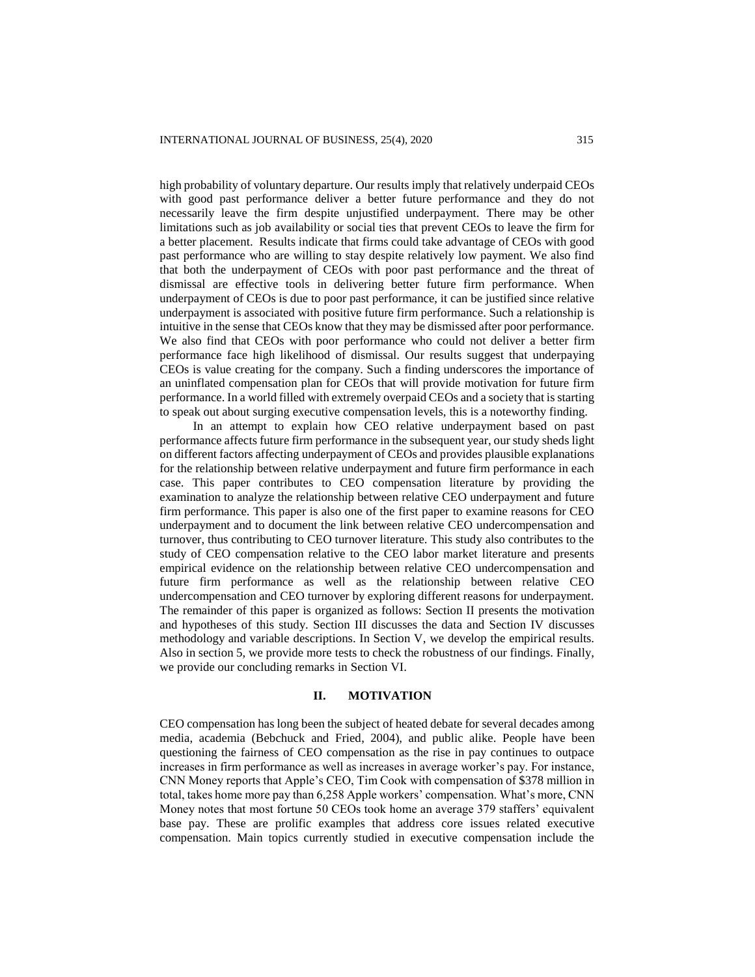high probability of voluntary departure. Our results imply that relatively underpaid CEOs with good past performance deliver a better future performance and they do not necessarily leave the firm despite unjustified underpayment. There may be other limitations such as job availability or social ties that prevent CEOs to leave the firm for a better placement. Results indicate that firms could take advantage of CEOs with good past performance who are willing to stay despite relatively low payment. We also find that both the underpayment of CEOs with poor past performance and the threat of dismissal are effective tools in delivering better future firm performance. When underpayment of CEOs is due to poor past performance, it can be justified since relative underpayment is associated with positive future firm performance. Such a relationship is intuitive in the sense that CEOs know that they may be dismissed after poor performance. We also find that CEOs with poor performance who could not deliver a better firm performance face high likelihood of dismissal. Our results suggest that underpaying CEOs is value creating for the company. Such a finding underscores the importance of an uninflated compensation plan for CEOs that will provide motivation for future firm performance. In a world filled with extremely overpaid CEOs and a society that is starting to speak out about surging executive compensation levels, this is a noteworthy finding.

In an attempt to explain how CEO relative underpayment based on past performance affects future firm performance in the subsequent year, our study sheds light on different factors affecting underpayment of CEOs and provides plausible explanations for the relationship between relative underpayment and future firm performance in each case. This paper contributes to CEO compensation literature by providing the examination to analyze the relationship between relative CEO underpayment and future firm performance. This paper is also one of the first paper to examine reasons for CEO underpayment and to document the link between relative CEO undercompensation and turnover, thus contributing to CEO turnover literature. This study also contributes to the study of CEO compensation relative to the CEO labor market literature and presents empirical evidence on the relationship between relative CEO undercompensation and future firm performance as well as the relationship between relative CEO undercompensation and CEO turnover by exploring different reasons for underpayment. The remainder of this paper is organized as follows: Section II presents the motivation and hypotheses of this study. Section III discusses the data and Section IV discusses methodology and variable descriptions. In Section V, we develop the empirical results. Also in section 5, we provide more tests to check the robustness of our findings. Finally, we provide our concluding remarks in Section VI.

# **II. MOTIVATION**

CEO compensation has long been the subject of heated debate for several decades among media, academia (Bebchuck and Fried, 2004), and public alike. People have been questioning the fairness of CEO compensation as the rise in pay continues to outpace increases in firm performance as well as increases in average worker's pay. For instance, CNN Money reports that Apple's CEO, Tim Cook with compensation of \$378 million in total, takes home more pay than 6,258 Apple workers' compensation. What's more, CNN Money notes that most fortune 50 CEOs took home an average 379 staffers' equivalent base pay. These are prolific examples that address core issues related executive compensation. Main topics currently studied in executive compensation include the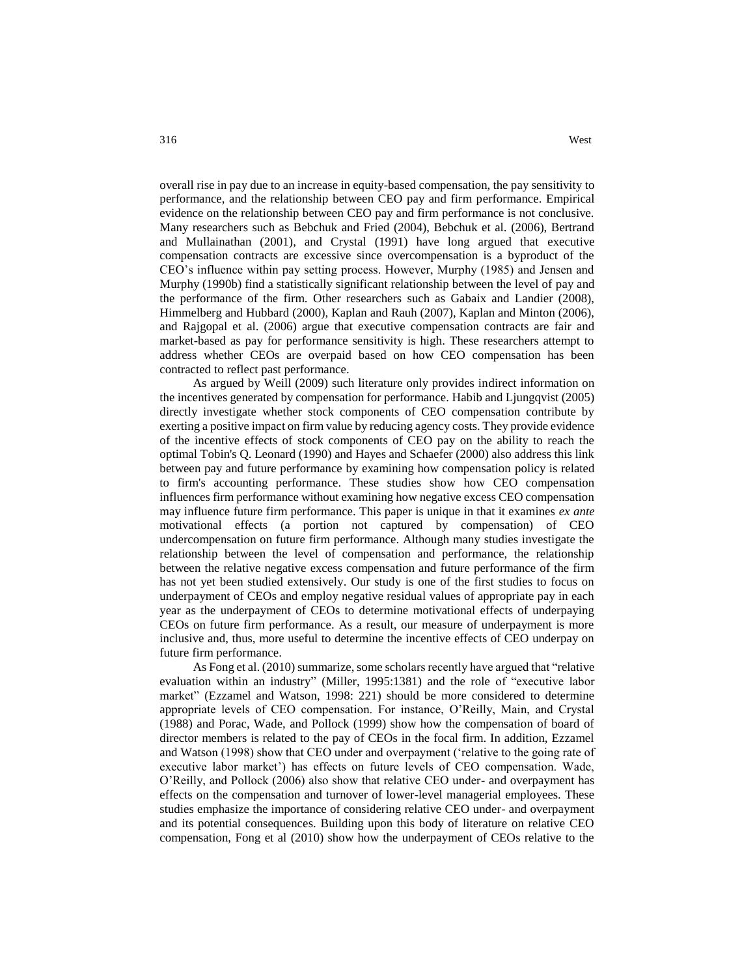overall rise in pay due to an increase in equity-based compensation, the pay sensitivity to performance, and the relationship between CEO pay and firm performance. Empirical evidence on the relationship between CEO pay and firm performance is not conclusive. Many researchers such as Bebchuk and Fried (2004), Bebchuk et al. (2006), Bertrand and Mullainathan (2001), and Crystal (1991) have long argued that executive compensation contracts are excessive since overcompensation is a byproduct of the CEO's influence within pay setting process. However, Murphy (1985) and Jensen and Murphy (1990b) find a statistically significant relationship between the level of pay and the performance of the firm. Other researchers such as Gabaix and Landier (2008), Himmelberg and Hubbard (2000), Kaplan and Rauh (2007), Kaplan and Minton (2006), and Rajgopal et al. (2006) argue that executive compensation contracts are fair and market-based as pay for performance sensitivity is high. These researchers attempt to address whether CEOs are overpaid based on how CEO compensation has been contracted to reflect past performance.

As argued by Weill (2009) such literature only provides indirect information on the incentives generated by compensation for performance. Habib and Ljungqvist (2005) directly investigate whether stock components of CEO compensation contribute by exerting a positive impact on firm value by reducing agency costs. They provide evidence of the incentive effects of stock components of CEO pay on the ability to reach the optimal Tobin's Q. Leonard (1990) and Hayes and Schaefer (2000) also address this link between pay and future performance by examining how compensation policy is related to firm's accounting performance. These studies show how CEO compensation influences firm performance without examining how negative excess CEO compensation may influence future firm performance. This paper is unique in that it examines *ex ante* motivational effects (a portion not captured by compensation) of CEO undercompensation on future firm performance. Although many studies investigate the relationship between the level of compensation and performance, the relationship between the relative negative excess compensation and future performance of the firm has not yet been studied extensively. Our study is one of the first studies to focus on underpayment of CEOs and employ negative residual values of appropriate pay in each year as the underpayment of CEOs to determine motivational effects of underpaying CEOs on future firm performance. As a result, our measure of underpayment is more inclusive and, thus, more useful to determine the incentive effects of CEO underpay on future firm performance.

As Fong et al. (2010) summarize, some scholars recently have argued that "relative evaluation within an industry" (Miller, 1995:1381) and the role of "executive labor market" (Ezzamel and Watson, 1998: 221) should be more considered to determine appropriate levels of CEO compensation. For instance, O'Reilly, Main, and Crystal (1988) and Porac, Wade, and Pollock (1999) show how the compensation of board of director members is related to the pay of CEOs in the focal firm. In addition, Ezzamel and Watson (1998) show that CEO under and overpayment ('relative to the going rate of executive labor market') has effects on future levels of CEO compensation. Wade, O'Reilly, and Pollock (2006) also show that relative CEO under- and overpayment has effects on the compensation and turnover of lower-level managerial employees. These studies emphasize the importance of considering relative CEO under- and overpayment and its potential consequences. Building upon this body of literature on relative CEO compensation, Fong et al (2010) show how the underpayment of CEOs relative to the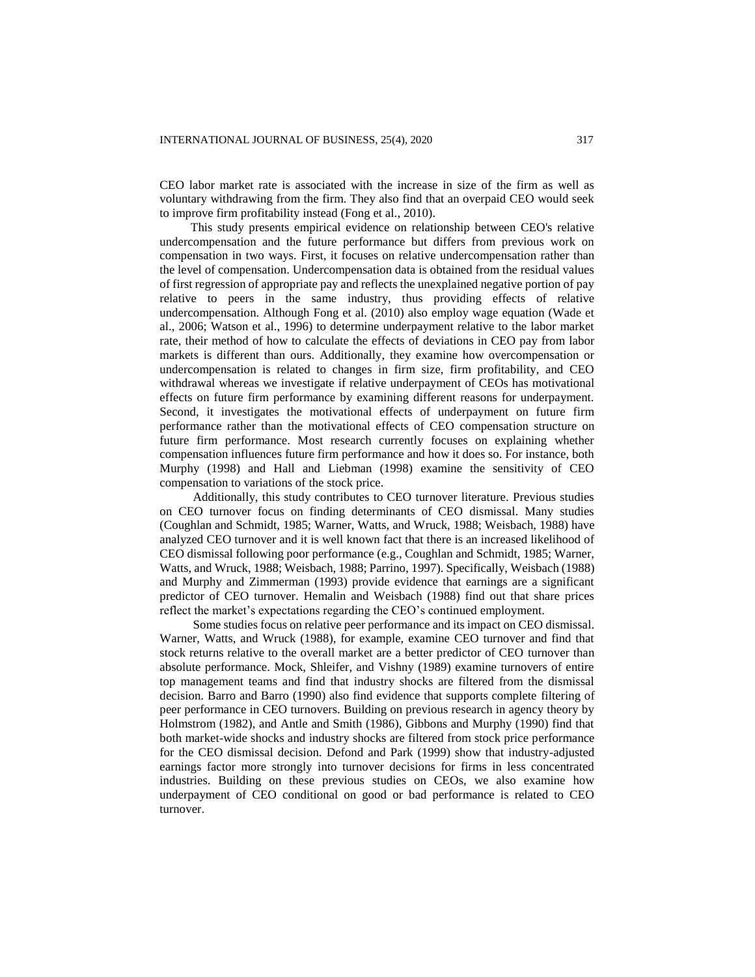CEO labor market rate is associated with the increase in size of the firm as well as voluntary withdrawing from the firm. They also find that an overpaid CEO would seek to improve firm profitability instead (Fong et al., 2010).

 This study presents empirical evidence on relationship between CEO's relative undercompensation and the future performance but differs from previous work on compensation in two ways. First, it focuses on relative undercompensation rather than the level of compensation. Undercompensation data is obtained from the residual values of first regression of appropriate pay and reflects the unexplained negative portion of pay relative to peers in the same industry, thus providing effects of relative undercompensation. Although Fong et al. (2010) also employ wage equation (Wade et al., 2006; Watson et al., 1996) to determine underpayment relative to the labor market rate, their method of how to calculate the effects of deviations in CEO pay from labor markets is different than ours. Additionally, they examine how overcompensation or undercompensation is related to changes in firm size, firm profitability, and CEO withdrawal whereas we investigate if relative underpayment of CEOs has motivational effects on future firm performance by examining different reasons for underpayment. Second, it investigates the motivational effects of underpayment on future firm performance rather than the motivational effects of CEO compensation structure on future firm performance. Most research currently focuses on explaining whether compensation influences future firm performance and how it does so. For instance, both Murphy (1998) and Hall and Liebman (1998) examine the sensitivity of CEO compensation to variations of the stock price.

Additionally, this study contributes to CEO turnover literature. Previous studies on CEO turnover focus on finding determinants of CEO dismissal. Many studies (Coughlan and Schmidt, 1985; Warner, Watts, and Wruck, 1988; Weisbach, 1988) have analyzed CEO turnover and it is well known fact that there is an increased likelihood of CEO dismissal following poor performance (e.g., Coughlan and Schmidt, 1985; Warner, Watts, and Wruck, 1988; Weisbach, 1988; Parrino, 1997). Specifically, Weisbach (1988) and Murphy and Zimmerman (1993) provide evidence that earnings are a significant predictor of CEO turnover. Hemalin and Weisbach (1988) find out that share prices reflect the market's expectations regarding the CEO's continued employment.

Some studies focus on relative peer performance and its impact on CEO dismissal. Warner, Watts, and Wruck (1988), for example, examine CEO turnover and find that stock returns relative to the overall market are a better predictor of CEO turnover than absolute performance. Mock, Shleifer, and Vishny (1989) examine turnovers of entire top management teams and find that industry shocks are filtered from the dismissal decision. Barro and Barro (1990) also find evidence that supports complete filtering of peer performance in CEO turnovers. Building on previous research in agency theory by Holmstrom (1982), and Antle and Smith (1986), Gibbons and Murphy (1990) find that both market-wide shocks and industry shocks are filtered from stock price performance for the CEO dismissal decision. Defond and Park (1999) show that industry-adjusted earnings factor more strongly into turnover decisions for firms in less concentrated industries. Building on these previous studies on CEOs, we also examine how underpayment of CEO conditional on good or bad performance is related to CEO turnover.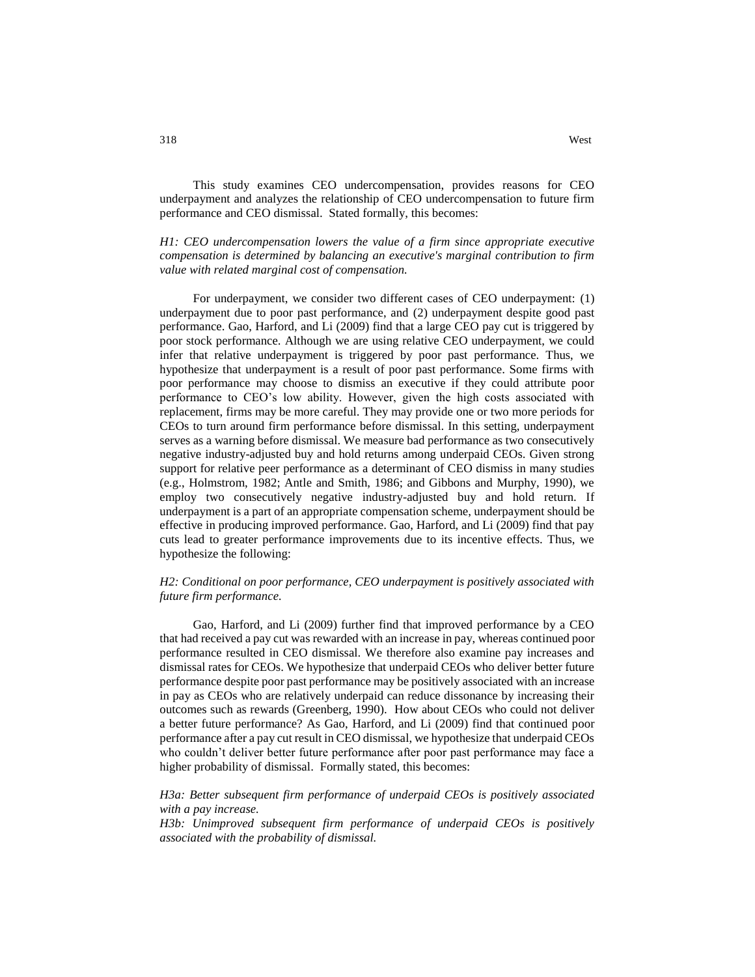This study examines CEO undercompensation, provides reasons for CEO underpayment and analyzes the relationship of CEO undercompensation to future firm performance and CEO dismissal. Stated formally, this becomes:

*H1: CEO undercompensation lowers the value of a firm since appropriate executive compensation is determined by balancing an executive's marginal contribution to firm value with related marginal cost of compensation.*

For underpayment, we consider two different cases of CEO underpayment: (1) underpayment due to poor past performance, and (2) underpayment despite good past performance. Gao, Harford, and Li (2009) find that a large CEO pay cut is triggered by poor stock performance. Although we are using relative CEO underpayment, we could infer that relative underpayment is triggered by poor past performance. Thus, we hypothesize that underpayment is a result of poor past performance. Some firms with poor performance may choose to dismiss an executive if they could attribute poor performance to CEO's low ability. However, given the high costs associated with replacement, firms may be more careful. They may provide one or two more periods for CEOs to turn around firm performance before dismissal. In this setting, underpayment serves as a warning before dismissal. We measure bad performance as two consecutively negative industry-adjusted buy and hold returns among underpaid CEOs. Given strong support for relative peer performance as a determinant of CEO dismiss in many studies (e.g., Holmstrom, 1982; Antle and Smith, 1986; and Gibbons and Murphy, 1990), we employ two consecutively negative industry-adjusted buy and hold return. If underpayment is a part of an appropriate compensation scheme, underpayment should be effective in producing improved performance. Gao, Harford, and Li (2009) find that pay cuts lead to greater performance improvements due to its incentive effects. Thus, we hypothesize the following:

### *H2: Conditional on poor performance, CEO underpayment is positively associated with future firm performance.*

Gao, Harford, and Li (2009) further find that improved performance by a CEO that had received a pay cut was rewarded with an increase in pay, whereas continued poor performance resulted in CEO dismissal. We therefore also examine pay increases and dismissal rates for CEOs. We hypothesize that underpaid CEOs who deliver better future performance despite poor past performance may be positively associated with an increase in pay as CEOs who are relatively underpaid can reduce dissonance by increasing their outcomes such as rewards (Greenberg, 1990). How about CEOs who could not deliver a better future performance? As Gao, Harford, and Li (2009) find that continued poor performance after a pay cut result in CEO dismissal, we hypothesize that underpaid CEOs who couldn't deliver better future performance after poor past performance may face a higher probability of dismissal. Formally stated, this becomes:

## *H3a: Better subsequent firm performance of underpaid CEOs is positively associated with a pay increase.*

*H3b: Unimproved subsequent firm performance of underpaid CEOs is positively associated with the probability of dismissal.*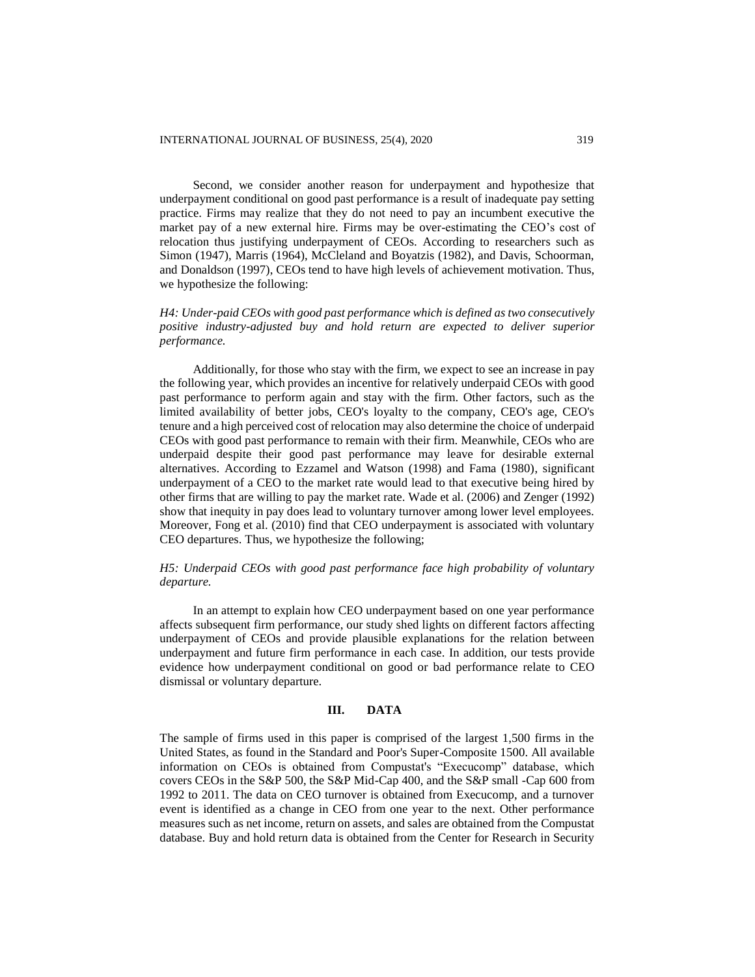Second, we consider another reason for underpayment and hypothesize that underpayment conditional on good past performance is a result of inadequate pay setting practice. Firms may realize that they do not need to pay an incumbent executive the market pay of a new external hire. Firms may be over-estimating the CEO's cost of relocation thus justifying underpayment of CEOs. According to researchers such as Simon (1947), Marris (1964), McCleland and Boyatzis (1982), and Davis, Schoorman, and Donaldson (1997), CEOs tend to have high levels of achievement motivation. Thus, we hypothesize the following:

# *H4: Under-paid CEOs with good past performance which is defined as two consecutively positive industry-adjusted buy and hold return are expected to deliver superior performance.*

Additionally, for those who stay with the firm, we expect to see an increase in pay the following year, which provides an incentive for relatively underpaid CEOs with good past performance to perform again and stay with the firm. Other factors, such as the limited availability of better jobs, CEO's loyalty to the company, CEO's age, CEO's tenure and a high perceived cost of relocation may also determine the choice of underpaid CEOs with good past performance to remain with their firm. Meanwhile, CEOs who are underpaid despite their good past performance may leave for desirable external alternatives. According to Ezzamel and Watson (1998) and Fama (1980), significant underpayment of a CEO to the market rate would lead to that executive being hired by other firms that are willing to pay the market rate. Wade et al. (2006) and Zenger (1992) show that inequity in pay does lead to voluntary turnover among lower level employees. Moreover, Fong et al. (2010) find that CEO underpayment is associated with voluntary CEO departures. Thus, we hypothesize the following;

# *H5: Underpaid CEOs with good past performance face high probability of voluntary departure.*

In an attempt to explain how CEO underpayment based on one year performance affects subsequent firm performance, our study shed lights on different factors affecting underpayment of CEOs and provide plausible explanations for the relation between underpayment and future firm performance in each case. In addition, our tests provide evidence how underpayment conditional on good or bad performance relate to CEO dismissal or voluntary departure.

### **III. DATA**

The sample of firms used in this paper is comprised of the largest 1,500 firms in the United States, as found in the Standard and Poor's Super-Composite 1500. All available information on CEOs is obtained from Compustat's "Execucomp" database, which covers CEOs in the S&P 500, the S&P Mid-Cap 400, and the S&P small -Cap 600 from 1992 to 2011. The data on CEO turnover is obtained from Execucomp, and a turnover event is identified as a change in CEO from one year to the next. Other performance measures such as net income, return on assets, and sales are obtained from the Compustat database. Buy and hold return data is obtained from the Center for Research in Security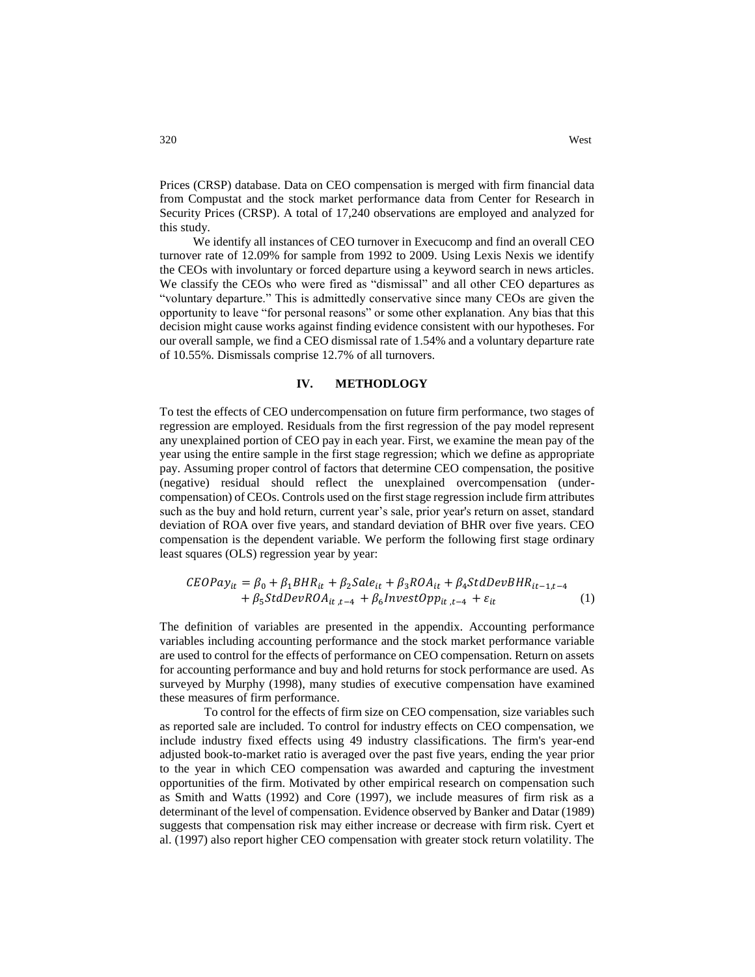Prices (CRSP) database. Data on CEO compensation is merged with firm financial data from Compustat and the stock market performance data from Center for Research in Security Prices (CRSP). A total of 17,240 observations are employed and analyzed for this study.

We identify all instances of CEO turnover in Execucomp and find an overall CEO turnover rate of 12.09% for sample from 1992 to 2009. Using Lexis Nexis we identify the CEOs with involuntary or forced departure using a keyword search in news articles. We classify the CEOs who were fired as "dismissal" and all other CEO departures as "voluntary departure." This is admittedly conservative since many CEOs are given the opportunity to leave "for personal reasons" or some other explanation. Any bias that this decision might cause works against finding evidence consistent with our hypotheses. For our overall sample, we find a CEO dismissal rate of 1.54% and a voluntary departure rate of 10.55%. Dismissals comprise 12.7% of all turnovers.

### **IV. METHODLOGY**

To test the effects of CEO undercompensation on future firm performance, two stages of regression are employed. Residuals from the first regression of the pay model represent any unexplained portion of CEO pay in each year. First, we examine the mean pay of the year using the entire sample in the first stage regression; which we define as appropriate pay. Assuming proper control of factors that determine CEO compensation, the positive (negative) residual should reflect the unexplained overcompensation (undercompensation) of CEOs. Controls used on the first stage regression include firm attributes such as the buy and hold return, current year's sale, prior year's return on asset, standard deviation of ROA over five years, and standard deviation of BHR over five years. CEO compensation is the dependent variable. We perform the following first stage ordinary least squares (OLS) regression year by year:

$$
CEOPay_{it} = \beta_0 + \beta_1 BHR_{it} + \beta_2 Sale_{it} + \beta_3 ROA_{it} + \beta_4 StdDevBHR_{it-1,t-4} + \beta_5 StdDevROA_{it,t-4} + \beta_6 InvestOpp_{it,t-4} + \varepsilon_{it}
$$
 (1)

The definition of variables are presented in the appendix. Accounting performance variables including accounting performance and the stock market performance variable are used to control for the effects of performance on CEO compensation. Return on assets for accounting performance and buy and hold returns for stock performance are used. As surveyed by Murphy (1998), many studies of executive compensation have examined these measures of firm performance.

To control for the effects of firm size on CEO compensation, size variables such as reported sale are included. To control for industry effects on CEO compensation, we include industry fixed effects using 49 industry classifications. The firm's year-end adjusted book-to-market ratio is averaged over the past five years, ending the year prior to the year in which CEO compensation was awarded and capturing the investment opportunities of the firm. Motivated by other empirical research on compensation such as Smith and Watts (1992) and Core (1997), we include measures of firm risk as a determinant of the level of compensation. Evidence observed by Banker and Datar (1989) suggests that compensation risk may either increase or decrease with firm risk. Cyert et al. (1997) also report higher CEO compensation with greater stock return volatility. The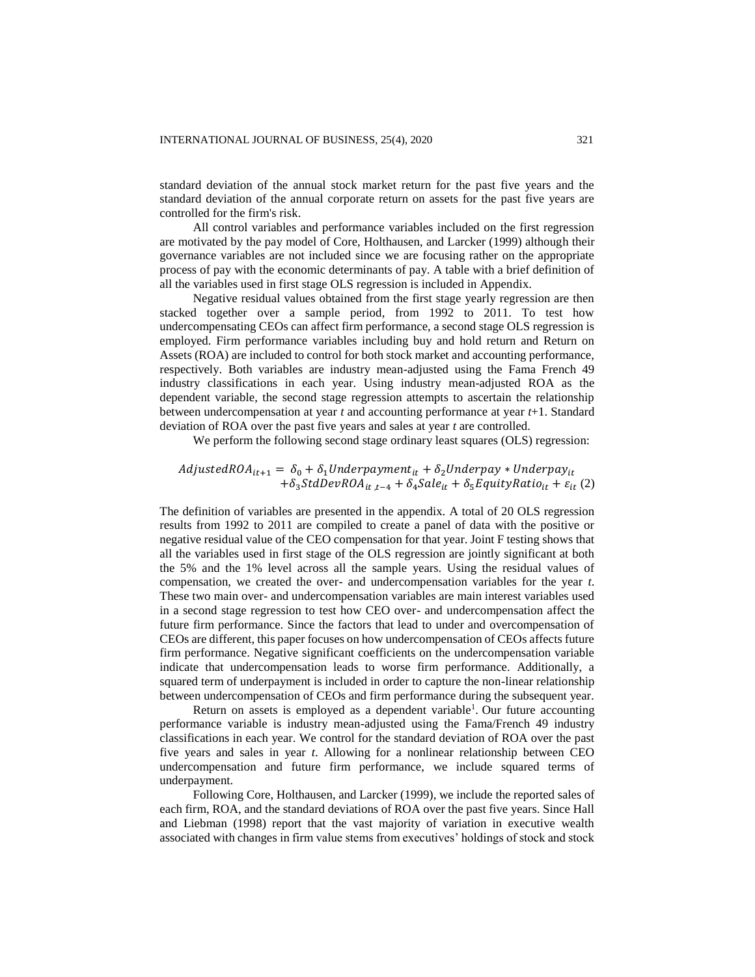standard deviation of the annual stock market return for the past five years and the standard deviation of the annual corporate return on assets for the past five years are controlled for the firm's risk.

All control variables and performance variables included on the first regression are motivated by the pay model of Core, Holthausen, and Larcker (1999) although their governance variables are not included since we are focusing rather on the appropriate process of pay with the economic determinants of pay. A table with a brief definition of all the variables used in first stage OLS regression is included in Appendix.

Negative residual values obtained from the first stage yearly regression are then stacked together over a sample period, from 1992 to 2011. To test how undercompensating CEOs can affect firm performance, a second stage OLS regression is employed. Firm performance variables including buy and hold return and Return on Assets (ROA) are included to control for both stock market and accounting performance, respectively. Both variables are industry mean-adjusted using the Fama French 49 industry classifications in each year. Using industry mean-adjusted ROA as the dependent variable, the second stage regression attempts to ascertain the relationship between undercompensation at year *t* and accounting performance at year *t*+1. Standard deviation of ROA over the past five years and sales at year *t* are controlled.

We perform the following second stage ordinary least squares (OLS) regression:

# $AdjustedROA_{it+1} = \delta_0 + \delta_1 Underpayment_{it} + \delta_2 Underpay*Underpay_{it}$  $+\delta_{3} StdDevROA_{it,t-4} + \delta_{4} Sale_{it} + \delta_{5} EquityRatio_{it} + \varepsilon_{it}$  (2)

The definition of variables are presented in the appendix. A total of 20 OLS regression results from 1992 to 2011 are compiled to create a panel of data with the positive or negative residual value of the CEO compensation for that year. Joint F testing shows that all the variables used in first stage of the OLS regression are jointly significant at both the 5% and the 1% level across all the sample years. Using the residual values of compensation, we created the over- and undercompensation variables for the year *t*. These two main over- and undercompensation variables are main interest variables used in a second stage regression to test how CEO over- and undercompensation affect the future firm performance. Since the factors that lead to under and overcompensation of CEOs are different, this paper focuses on how undercompensation of CEOs affects future firm performance. Negative significant coefficients on the undercompensation variable indicate that undercompensation leads to worse firm performance. Additionally, a squared term of underpayment is included in order to capture the non-linear relationship between undercompensation of CEOs and firm performance during the subsequent year.

Return on assets is employed as a dependent variable<sup>1</sup>. Our future accounting performance variable is industry mean-adjusted using the Fama/French 49 industry classifications in each year. We control for the standard deviation of ROA over the past five years and sales in year *t*. Allowing for a nonlinear relationship between CEO undercompensation and future firm performance, we include squared terms of underpayment.

Following Core, Holthausen, and Larcker (1999), we include the reported sales of each firm, ROA, and the standard deviations of ROA over the past five years. Since Hall and Liebman (1998) report that the vast majority of variation in executive wealth associated with changes in firm value stems from executives' holdings of stock and stock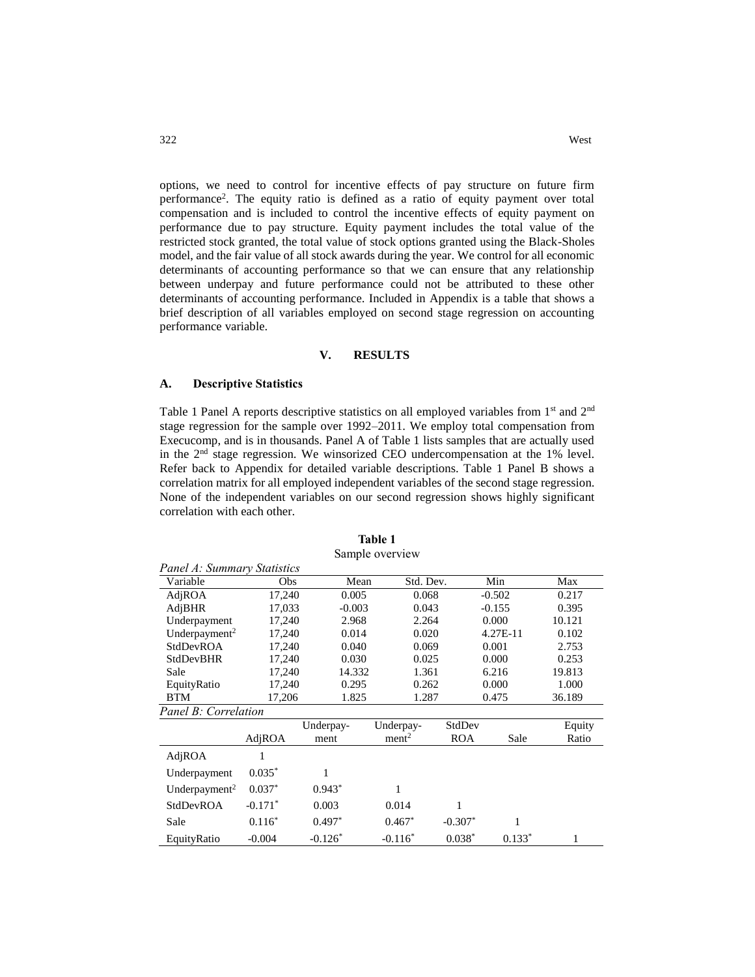options, we need to control for incentive effects of pay structure on future firm performance<sup>2</sup> . The equity ratio is defined as a ratio of equity payment over total compensation and is included to control the incentive effects of equity payment on performance due to pay structure. Equity payment includes the total value of the restricted stock granted, the total value of stock options granted using the Black-Sholes model, and the fair value of all stock awards during the year. We control for all economic determinants of accounting performance so that we can ensure that any relationship between underpay and future performance could not be attributed to these other determinants of accounting performance. Included in Appendix is a table that shows a brief description of all variables employed on second stage regression on accounting performance variable.

#### **V. RESULTS**

### **A. Descriptive Statistics**

Table 1 Panel A reports descriptive statistics on all employed variables from 1st and 2nd stage regression for the sample over 1992–2011. We employ total compensation from Execucomp, and is in thousands. Panel A of Table 1 lists samples that are actually used in the 2nd stage regression. We winsorized CEO undercompensation at the 1% level. Refer back to Appendix for detailed variable descriptions. Table 1 Panel B shows a correlation matrix for all employed independent variables of the second stage regression. None of the independent variables on our second regression shows highly significant correlation with each other.

| Panel A: Summary Statistics |           |           |                   |            |          |        |
|-----------------------------|-----------|-----------|-------------------|------------|----------|--------|
| Variable                    | Obs       | Mean      | Std. Dev.         |            | Min      | Max    |
| AdjROA                      | 17,240    | 0.005     | 0.068             |            | $-0.502$ | 0.217  |
| AdjBHR                      | 17,033    | $-0.003$  | 0.043             |            | $-0.155$ | 0.395  |
| Underpayment                | 17,240    | 2.968     | 2.264             |            | 0.000    | 10.121 |
| Underpayment <sup>2</sup>   | 17,240    | 0.014     | 0.020             |            | 4.27E-11 | 0.102  |
| StdDevROA                   | 17,240    | 0.040     | 0.069             |            | 0.001    | 2.753  |
| <b>StdDevBHR</b>            | 17,240    | 0.030     | 0.025             |            | 0.000    | 0.253  |
| Sale                        | 17,240    | 14.332    | 1.361             |            | 6.216    | 19.813 |
| EquityRatio                 | 17,240    | 0.295     | 0.262             |            | 0.000    | 1.000  |
| <b>BTM</b>                  | 17,206    | 1.825     | 1.287             |            | 0.475    | 36.189 |
| Panel B: Correlation        |           |           |                   |            |          |        |
|                             |           | Underpay- | Underpay-         | StdDev     |          | Equity |
|                             | AdjROA    | ment      | ment <sup>2</sup> | <b>ROA</b> | Sale     | Ratio  |
| AdjROA                      |           |           |                   |            |          |        |
| Underpayment                | $0.035*$  | 1         |                   |            |          |        |
| Underpayment <sup>2</sup>   | $0.037*$  | $0.943*$  | 1                 |            |          |        |
| StdDevROA                   | $-0.171*$ | 0.003     | 0.014             | 1          |          |        |
| Sale                        | $0.116*$  | $0.497*$  | $0.467*$          | $-0.307*$  | 1        |        |
| EquityRatio                 | $-0.004$  | $-0.126*$ | $-0.116*$         | $0.038*$   | $0.133*$ | 1      |

#### **Table 1** Sample overview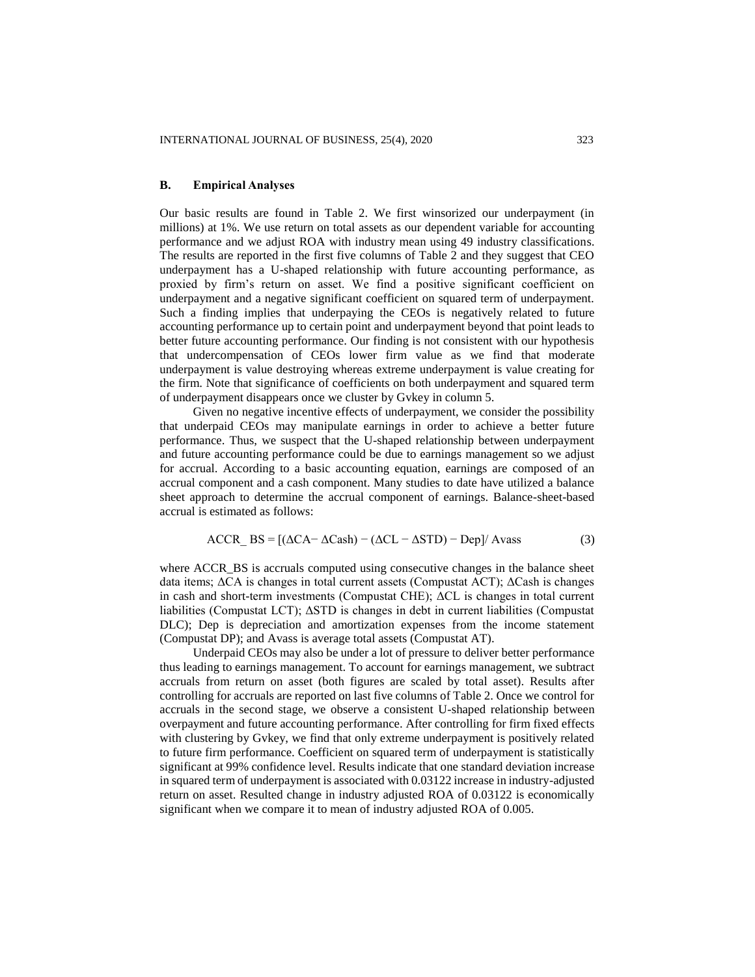### **B. Empirical Analyses**

Our basic results are found in Table 2. We first winsorized our underpayment (in millions) at 1%. We use return on total assets as our dependent variable for accounting performance and we adjust ROA with industry mean using 49 industry classifications. The results are reported in the first five columns of Table 2 and they suggest that CEO underpayment has a U-shaped relationship with future accounting performance, as proxied by firm's return on asset. We find a positive significant coefficient on underpayment and a negative significant coefficient on squared term of underpayment. Such a finding implies that underpaying the CEOs is negatively related to future accounting performance up to certain point and underpayment beyond that point leads to better future accounting performance. Our finding is not consistent with our hypothesis that undercompensation of CEOs lower firm value as we find that moderate underpayment is value destroying whereas extreme underpayment is value creating for the firm. Note that significance of coefficients on both underpayment and squared term of underpayment disappears once we cluster by Gvkey in column 5.

Given no negative incentive effects of underpayment, we consider the possibility that underpaid CEOs may manipulate earnings in order to achieve a better future performance. Thus, we suspect that the U-shaped relationship between underpayment and future accounting performance could be due to earnings management so we adjust for accrual. According to a basic accounting equation, earnings are composed of an accrual component and a cash component. Many studies to date have utilized a balance sheet approach to determine the accrual component of earnings. Balance-sheet-based accrual is estimated as follows:

$$
ACCR\_BS = [(\Delta CA - \Delta Cash) - (\Delta CL - \Delta STD) - Dep]/\text{Avass} \tag{3}
$$

where ACCR\_BS is accruals computed using consecutive changes in the balance sheet data items; ΔCA is changes in total current assets (Compustat ACT); ΔCash is changes in cash and short-term investments (Compustat CHE); ΔCL is changes in total current liabilities (Compustat LCT); ΔSTD is changes in debt in current liabilities (Compustat DLC); Dep is depreciation and amortization expenses from the income statement (Compustat DP); and Avass is average total assets (Compustat AT).

Underpaid CEOs may also be under a lot of pressure to deliver better performance thus leading to earnings management. To account for earnings management, we subtract accruals from return on asset (both figures are scaled by total asset). Results after controlling for accruals are reported on last five columns of Table 2. Once we control for accruals in the second stage, we observe a consistent U-shaped relationship between overpayment and future accounting performance. After controlling for firm fixed effects with clustering by Gvkey, we find that only extreme underpayment is positively related to future firm performance. Coefficient on squared term of underpayment is statistically significant at 99% confidence level. Results indicate that one standard deviation increase in squared term of underpayment is associated with 0.03122 increase in industry-adjusted return on asset. Resulted change in industry adjusted ROA of 0.03122 is economically significant when we compare it to mean of industry adjusted ROA of 0.005.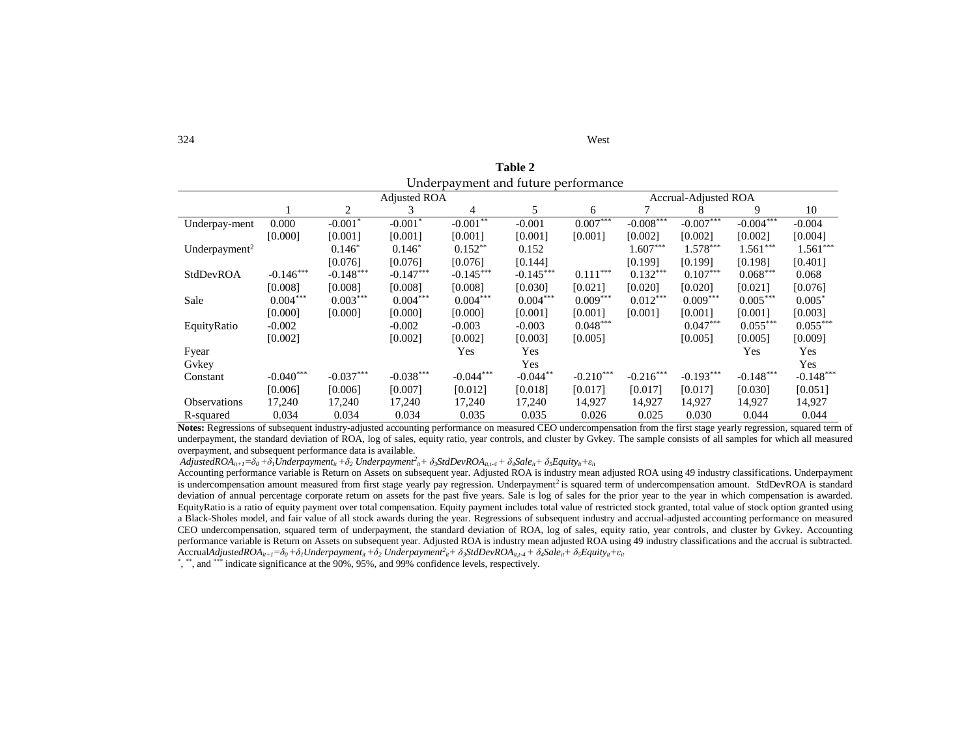| 324 | West |
|-----|------|
|-----|------|

**Table 2** Underpayment and future performance

|                           |             |             | Adjusted ROA |                | <b>Accrual-Adjusted ROA</b> |             |             |             |             |             |
|---------------------------|-------------|-------------|--------------|----------------|-----------------------------|-------------|-------------|-------------|-------------|-------------|
|                           |             | 2           | 3            | $\overline{4}$ | 5                           | 6           |             | x           | 9           | 10          |
| Underpay-ment             | 0.000       | $-0.001*$   | $-0.001*$    | $-0.001**$     | $-0.001$                    | $0.007***$  | $-0.008***$ | $-0.007***$ | $-0.004***$ | $-0.004$    |
|                           | [0.000]     | [0.001]     | [0.001]      | [0.001]        | [0.001]                     | [0.001]     | [0.002]     | [0.002]     | [0.002]     | [0.004]     |
| Underpayment <sup>2</sup> |             | $0.146*$    | $0.146*$     | $0.152**$      | 0.152                       |             | $1.607***$  | $1.578***$  | $1.561***$  | $1.561***$  |
|                           |             | [0.076]     | [0.076]      | [0.076]        | [0.144]                     |             | [0.199]     | [0.199]     | [0.198]     | [0.401]     |
| StdDevROA                 | $-0.146***$ | $-0.148***$ | $-0.147***$  | $-0.145***$    | $-0.145***$                 | $0.111***$  | $0.132***$  | $0.107***$  | $0.068***$  | 0.068       |
|                           | [0.008]     | [0.008]     | [0.008]      | [0.008]        | [0.030]                     | [0.021]     | [0.020]     | [0.020]     | [0.021]     | [0.076]     |
| Sale                      | $0.004***$  | $0.003***$  | $0.004***$   | $0.004***$     | $0.004***$                  | $0.009***$  | $0.012***$  | $0.009***$  | $0.005***$  | $0.005*$    |
|                           | [0.000]     | [0.000]     | [0.000]      | [0.000]        | [0.001]                     | [0.001]     | [0.001]     | [0.001]     | [0.001]     | [0.003]     |
| EquityRatio               | $-0.002$    |             | $-0.002$     | $-0.003$       | $-0.003$                    | $0.048***$  |             | $0.047***$  | $0.055***$  | $0.055***$  |
|                           | [0.002]     |             | [0.002]      | [0.002]        | [0.003]                     | [0.005]     |             | [0.005]     | [0.005]     | [0.009]     |
| Fyear                     |             |             |              | Yes            | Yes                         |             |             |             | Yes         | Yes         |
| Gvkey                     |             |             |              |                | Yes                         |             |             |             |             | Yes         |
| Constant                  | $-0.040***$ | $-0.037***$ | $-0.038***$  | $-0.044***$    | $-0.044**$                  | $-0.210***$ | $-0.216***$ | $-0.193***$ | $-0.148***$ | $-0.148***$ |
|                           | [0.006]     | [0.006]     | [0.007]      | [0.012]        | [0.018]                     | [0.017]     | [0.017]     | [0.017]     | [0.030]     | [0.051]     |
| <b>Observations</b>       | 17,240      | 17,240      | 17,240       | 17,240         | 17,240                      | 14,927      | 14,927      | 14,927      | 14,927      | 14,927      |
| R-squared                 | 0.034       | 0.034       | 0.034        | 0.035          | 0.035                       | 0.026       | 0.025       | 0.030       | 0.044       | 0.044       |

**Notes:** Regressions of subsequent industry-adjusted accounting performance on measured CEO undercompensation from the first stage yearly regression, squared term of underpayment, the standard deviation of ROA, log of sales, equity ratio, year controls, and cluster by Gvkey. The sample consists of all samples for which all measured overpayment, and subsequent performance data is available.

 $AdjustedROA_{it+1}=\delta_0+\delta_1 Underpayment_{it}+\delta_2\ Underpaymentr_{it}^2+\delta_3StdDevROA_{it,t-4}+\delta_4 Sale_{it}+\delta_5Equity_{it}+\varepsilon_{it}$ 

Accounting performance variable is Return on Assets on subsequent year. Adjusted ROA is industry mean adjusted ROA using 49 industry classifications. Underpayment is undercompensation amount measured from first stage yearly pay regression. Underpayment<sup>2</sup> is squared term of undercompensation amount. StdDevROA is standard deviation of annual percentage corporate return on assets for the past five years. Sale is log of sales for the prior year to the year in which compensation is awarded. EquityRatio is a ratio of equity payment over total compensation. Equity payment includes total value of restricted stock granted, total value of stock option granted using a Black-Sholes model, and fair value of all stock awards during the year. Regressions of subsequent industry and accrual-adjusted accounting performance on measured CEO undercompensation, squared term of underpayment, the standard deviation of ROA, log of sales, equity ratio, year controls, and cluster by Gvkey. Accounting performance variable is Return on Assets on subsequent year. Adjusted ROA is industry mean adjusted ROA using 49 industry classifications and the accrual is subtracted.  $\text{Accrual}$ AdjustedRO $A_{i t+1} = \delta_0 + \delta_1$ Underpayment $_{i t} + \delta_2$  Underpayment $t_{i t} + \delta_3$ StdDevRO $A_{i t, t-4} + \delta_4$ Sale $_{i t} + \delta_5$ Equity $_{i t} + \varepsilon_{i t}$ 

\*, \*\*, and \*\*\* indicate significance at the 90%, 95%, and 99% confidence levels, respectively.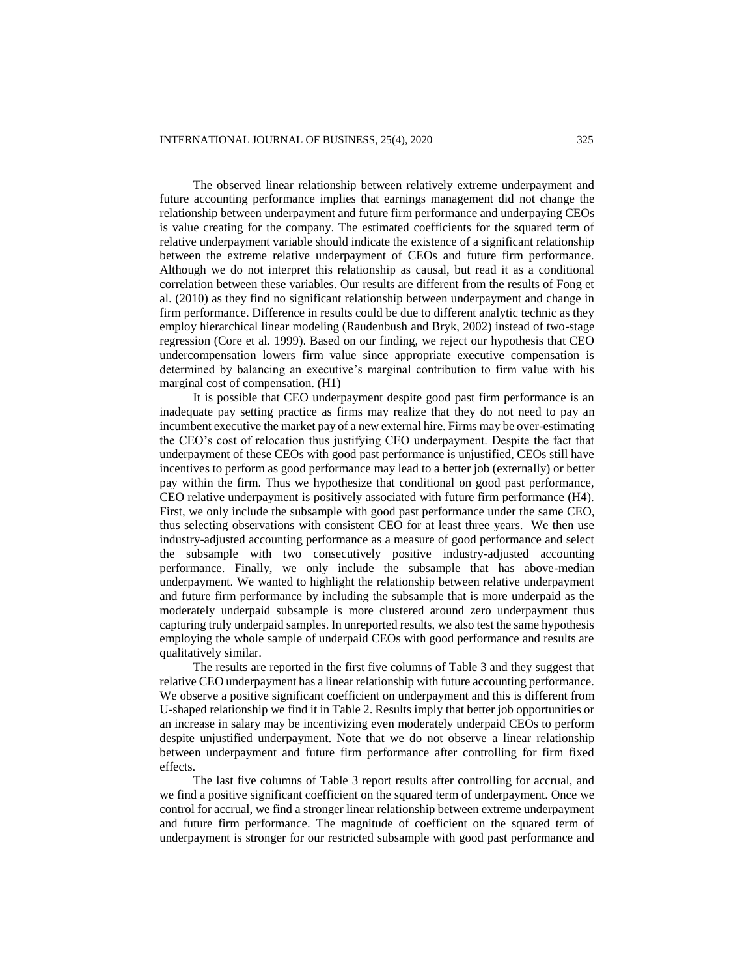The observed linear relationship between relatively extreme underpayment and future accounting performance implies that earnings management did not change the relationship between underpayment and future firm performance and underpaying CEOs is value creating for the company. The estimated coefficients for the squared term of relative underpayment variable should indicate the existence of a significant relationship between the extreme relative underpayment of CEOs and future firm performance. Although we do not interpret this relationship as causal, but read it as a conditional correlation between these variables. Our results are different from the results of Fong et al. (2010) as they find no significant relationship between underpayment and change in firm performance. Difference in results could be due to different analytic technic as they employ hierarchical linear modeling (Raudenbush and Bryk, 2002) instead of two-stage regression (Core et al. 1999). Based on our finding, we reject our hypothesis that CEO undercompensation lowers firm value since appropriate executive compensation is determined by balancing an executive's marginal contribution to firm value with his marginal cost of compensation. (H1)

It is possible that CEO underpayment despite good past firm performance is an inadequate pay setting practice as firms may realize that they do not need to pay an incumbent executive the market pay of a new external hire. Firms may be over-estimating the CEO's cost of relocation thus justifying CEO underpayment. Despite the fact that underpayment of these CEOs with good past performance is unjustified, CEOs still have incentives to perform as good performance may lead to a better job (externally) or better pay within the firm. Thus we hypothesize that conditional on good past performance, CEO relative underpayment is positively associated with future firm performance (H4). First, we only include the subsample with good past performance under the same CEO, thus selecting observations with consistent CEO for at least three years. We then use industry-adjusted accounting performance as a measure of good performance and select the subsample with two consecutively positive industry-adjusted accounting performance. Finally, we only include the subsample that has above-median underpayment. We wanted to highlight the relationship between relative underpayment and future firm performance by including the subsample that is more underpaid as the moderately underpaid subsample is more clustered around zero underpayment thus capturing truly underpaid samples. In unreported results, we also test the same hypothesis employing the whole sample of underpaid CEOs with good performance and results are qualitatively similar.

The results are reported in the first five columns of Table 3 and they suggest that relative CEO underpayment has a linear relationship with future accounting performance. We observe a positive significant coefficient on underpayment and this is different from U-shaped relationship we find it in Table 2. Results imply that better job opportunities or an increase in salary may be incentivizing even moderately underpaid CEOs to perform despite unjustified underpayment. Note that we do not observe a linear relationship between underpayment and future firm performance after controlling for firm fixed effects.

The last five columns of Table 3 report results after controlling for accrual, and we find a positive significant coefficient on the squared term of underpayment. Once we control for accrual, we find a stronger linear relationship between extreme underpayment and future firm performance. The magnitude of coefficient on the squared term of underpayment is stronger for our restricted subsample with good past performance and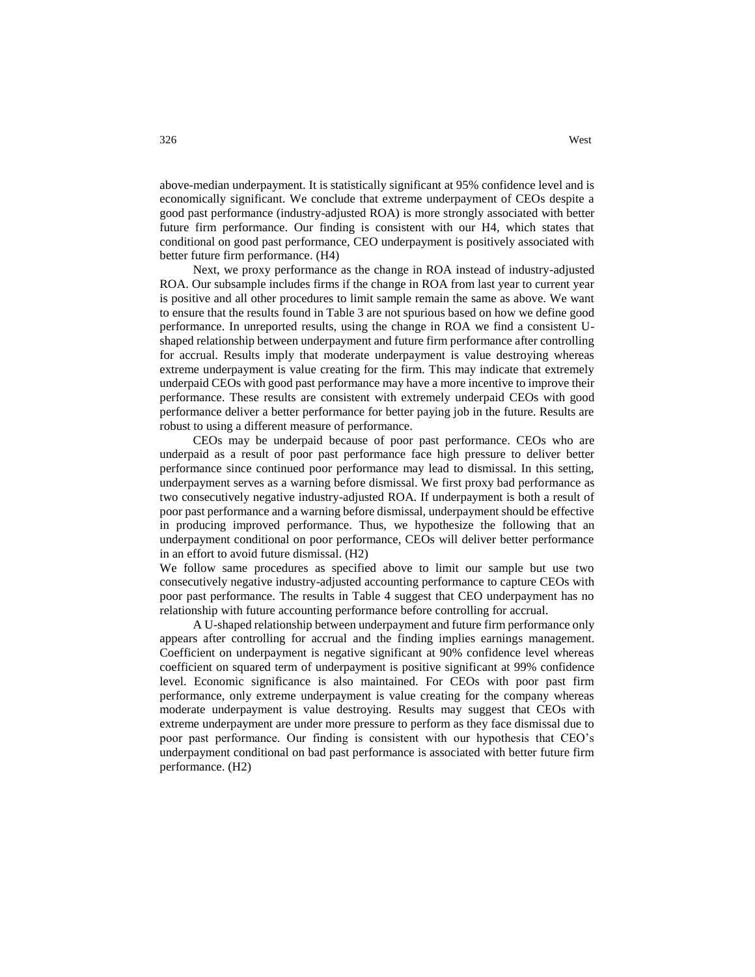above-median underpayment. It is statistically significant at 95% confidence level and is economically significant. We conclude that extreme underpayment of CEOs despite a good past performance (industry-adjusted ROA) is more strongly associated with better future firm performance. Our finding is consistent with our H4, which states that conditional on good past performance, CEO underpayment is positively associated with better future firm performance. (H4)

Next, we proxy performance as the change in ROA instead of industry-adjusted ROA. Our subsample includes firms if the change in ROA from last year to current year is positive and all other procedures to limit sample remain the same as above. We want to ensure that the results found in Table 3 are not spurious based on how we define good performance. In unreported results, using the change in ROA we find a consistent Ushaped relationship between underpayment and future firm performance after controlling for accrual. Results imply that moderate underpayment is value destroying whereas extreme underpayment is value creating for the firm. This may indicate that extremely underpaid CEOs with good past performance may have a more incentive to improve their performance. These results are consistent with extremely underpaid CEOs with good performance deliver a better performance for better paying job in the future. Results are robust to using a different measure of performance.

CEOs may be underpaid because of poor past performance. CEOs who are underpaid as a result of poor past performance face high pressure to deliver better performance since continued poor performance may lead to dismissal. In this setting, underpayment serves as a warning before dismissal. We first proxy bad performance as two consecutively negative industry-adjusted ROA. If underpayment is both a result of poor past performance and a warning before dismissal, underpayment should be effective in producing improved performance. Thus, we hypothesize the following that an underpayment conditional on poor performance, CEOs will deliver better performance in an effort to avoid future dismissal. (H2)

We follow same procedures as specified above to limit our sample but use two consecutively negative industry-adjusted accounting performance to capture CEOs with poor past performance. The results in Table 4 suggest that CEO underpayment has no relationship with future accounting performance before controlling for accrual.

A U-shaped relationship between underpayment and future firm performance only appears after controlling for accrual and the finding implies earnings management. Coefficient on underpayment is negative significant at 90% confidence level whereas coefficient on squared term of underpayment is positive significant at 99% confidence level. Economic significance is also maintained. For CEOs with poor past firm performance, only extreme underpayment is value creating for the company whereas moderate underpayment is value destroying. Results may suggest that CEOs with extreme underpayment are under more pressure to perform as they face dismissal due to poor past performance. Our finding is consistent with our hypothesis that CEO's underpayment conditional on bad past performance is associated with better future firm performance. (H2)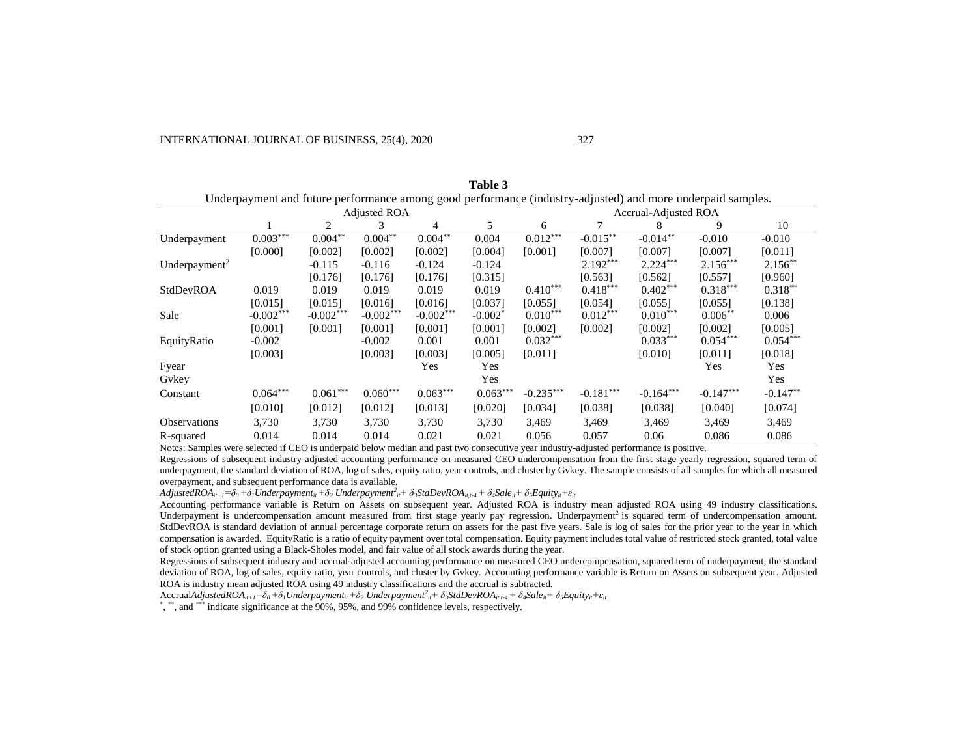|                           | Underpayment and future performance among good performance (industry-adjusted) and more underpaid samples. |                     |             |                             |            |             |             |             |             |            |
|---------------------------|------------------------------------------------------------------------------------------------------------|---------------------|-------------|-----------------------------|------------|-------------|-------------|-------------|-------------|------------|
|                           |                                                                                                            | <b>Adjusted ROA</b> |             | <b>Accrual-Adjusted ROA</b> |            |             |             |             |             |            |
|                           |                                                                                                            | 2                   | 3           | 4                           | 5          | 6           |             | 8           | 9           | 10         |
| Underpayment              | $0.003***$                                                                                                 | $0.004^{**}$        | $0.004***$  | $0.004***$                  | 0.004      | $0.012***$  | $-0.015***$ | $-0.014**$  | $-0.010$    | $-0.010$   |
|                           | [0.000]                                                                                                    | [0.002]             | [0.002]     | [0.002]                     | [0.004]    | [0.001]     | [0.007]     | [0.007]     | [0.007]     | [0.011]    |
| Underpayment <sup>2</sup> |                                                                                                            | $-0.115$            | $-0.116$    | $-0.124$                    | $-0.124$   |             | $2.192***$  | $2.224***$  | $2.156***$  | $2.156**$  |
|                           |                                                                                                            | [0.176]             | [0.176]     | [0.176]                     | [0.315]    |             | [0.563]     | [0.562]     | [0.557]     | [0.960]    |
| StdDevROA                 | 0.019                                                                                                      | 0.019               | 0.019       | 0.019                       | 0.019      | $0.410***$  | $0.418***$  | $0.402***$  | $0.318***$  | $0.318**$  |
|                           | [0.015]                                                                                                    | [0.015]             | [0.016]     | [0.016]                     | [0.037]    | [0.055]     | [0.054]     | [0.055]     | [0.055]     | [0.138]    |
| Sale                      | $-0.002***$                                                                                                | $-0.002***$         | $-0.002***$ | $-0.002***$                 | $-0.002*$  | $0.010***$  | $0.012***$  | $0.010***$  | $0.006***$  | 0.006      |
|                           | [0.001]                                                                                                    | [0.001]             | [0.001]     | [0.001]                     | [0.001]    | [0.002]     | [0.002]     | [0.002]     | [0.002]     | [0.005]    |
| EquityRatio               | $-0.002$                                                                                                   |                     | $-0.002$    | 0.001                       | 0.001      | $0.032***$  |             | $0.033***$  | $0.054***$  | $0.054***$ |
|                           | [0.003]                                                                                                    |                     | [0.003]     | [0.003]                     | [0.005]    | [0.011]     |             | [0.010]     | [0.011]     | [0.018]    |
| Fyear                     |                                                                                                            |                     |             | Yes                         | Yes        |             |             |             | Yes         | Yes        |
| Gykey                     |                                                                                                            |                     |             |                             | Yes        |             |             |             |             | Yes        |
| Constant                  | $0.064***$                                                                                                 | $0.061***$          | $0.060***$  | $0.063***$                  | $0.063***$ | $-0.235***$ | $-0.181***$ | $-0.164***$ | $-0.147***$ | $-0.147**$ |
|                           | [0.010]                                                                                                    | [0.012]             | [0.012]     | [0.013]                     | [0.020]    | [0.034]     | [0.038]     | [0.038]     | [0.040]     | [0.074]    |
| <b>Observations</b>       | 3,730                                                                                                      | 3,730               | 3,730       | 3,730                       | 3,730      | 3,469       | 3,469       | 3,469       | 3,469       | 3,469      |
| R-squared                 | 0.014                                                                                                      | 0.014               | 0.014       | 0.021                       | 0.021      | 0.056       | 0.057       | 0.06        | 0.086       | 0.086      |

**Table 3**

Notes: Samples were selected if CEO is underpaid below median and past two consecutive year industry-adjusted performance is positive.

Regressions of subsequent industry-adjusted accounting performance on measured CEO undercompensation from the first stage yearly regression, squared term of underpayment, the standard deviation of ROA, log of sales, equity ratio, year controls, and cluster by Gvkey. The sample consists of all samples for which all measured overpayment, and subsequent performance data is available.

 $AdjustedROA_{it+1}=\delta_0+\delta_1 Underpayment_{it}+\delta_2\ Underpayment^2_{it}+\delta_3StdDevROA_{it,t+4}+\delta_4 Sale_{it}+\delta_5 Equity_{it}+\epsilon_{it}$ 

Accounting performance variable is Return on Assets on subsequent year. Adjusted ROA is industry mean adjusted ROA using 49 industry classifications. Underpayment is undercompensation amount measured from first stage yearly pay regression. Underpayment<sup>2</sup> is squared term of undercompensation amount. StdDevROA is standard deviation of annual percentage corporate return on assets for the past five years. Sale is log of sales for the prior year to the year in which compensation is awarded. EquityRatio is a ratio of equity payment over total compensation. Equity payment includes total value of restricted stock granted, total value of stock option granted using a Black-Sholes model, and fair value of all stock awards during the year.

Regressions of subsequent industry and accrual-adjusted accounting performance on measured CEO undercompensation, squared term of underpayment, the standard deviation of ROA, log of sales, equity ratio, year controls, and cluster by Gvkey. Accounting performance variable is Return on Assets on subsequent year. Adjusted ROA is industry mean adjusted ROA using 49 industry classifications and the accrual is subtracted.

 $\text{Accrual} AdjustedROA_{it+I} = \delta_0 + \delta_1 Underpayment_{it} + \delta_2 Underpayment_{it} + \delta_3StdDevROA_{it,t-4} + \delta_4 Sale_{it} + \delta_3 Equity_{it} + \varepsilon_{it}$ 

\*, \*\*, and \*\*\* indicate significance at the 90%, 95%, and 99% confidence levels, respectively.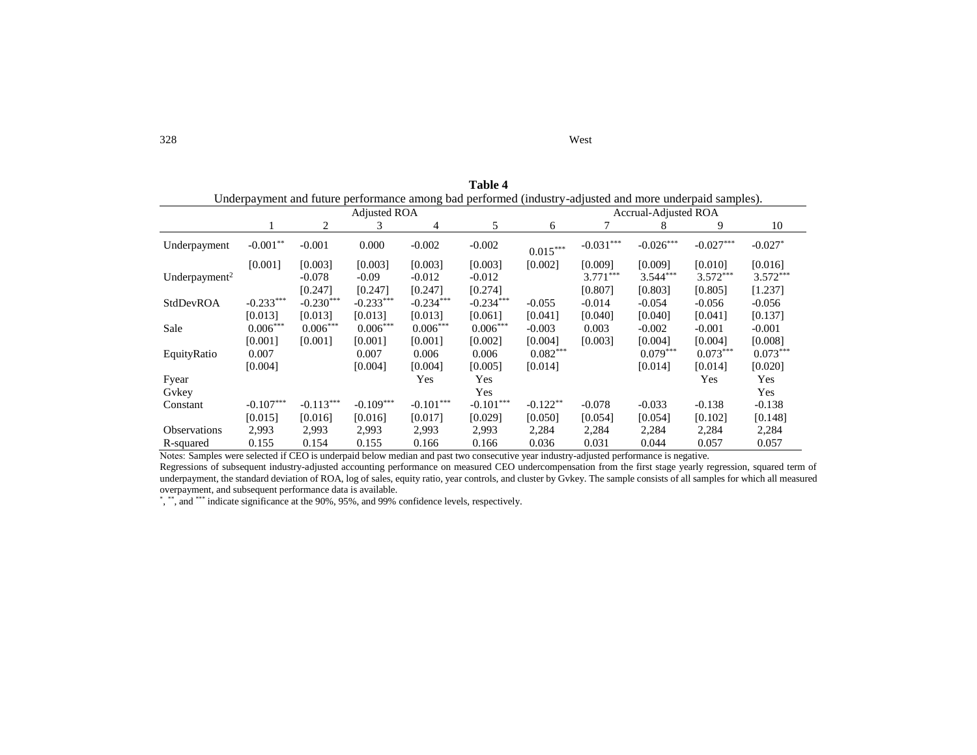|                           | Underpayment and future performance among bad performed (industry-adjusted and more underpaid samples). |             |                     |             |             |                             |             |             |             |            |  |
|---------------------------|---------------------------------------------------------------------------------------------------------|-------------|---------------------|-------------|-------------|-----------------------------|-------------|-------------|-------------|------------|--|
|                           |                                                                                                         |             | <b>Adjusted ROA</b> |             |             | <b>Accrual-Adjusted ROA</b> |             |             |             |            |  |
|                           |                                                                                                         | 2           | 3                   | 4           | 5           | 6                           |             | 8           | 9           | 10         |  |
| Underpayment              | $-0.001**$                                                                                              | $-0.001$    | 0.000               | $-0.002$    | $-0.002$    | $0.015***$                  | $-0.031***$ | $-0.026***$ | $-0.027***$ | $-0.027*$  |  |
|                           | [0.001]                                                                                                 | [0.003]     | [0.003]             | [0.003]     | [0.003]     | [0.002]                     | [0.009]     | [0.009]     | [0.010]     | [0.016]    |  |
| Underpayment <sup>2</sup> |                                                                                                         | $-0.078$    | $-0.09$             | $-0.012$    | $-0.012$    |                             | $3.771***$  | $3.544***$  | $3.572***$  | $3.572***$ |  |
|                           |                                                                                                         | [0.247]     | [0.247]             | [0.247]     | [0.274]     |                             | [0.807]     | [0.803]     | [0.805]     | [1.237]    |  |
| StdDevROA                 | $-0.233***$                                                                                             | $-0.230***$ | $-0.233***$         | $-0.234***$ | $-0.234***$ | $-0.055$                    | $-0.014$    | $-0.054$    | $-0.056$    | $-0.056$   |  |
|                           | [0.013]                                                                                                 | [0.013]     | [0.013]             | [0.013]     | [0.061]     | [0.041]                     | [0.040]     | [0.040]     | [0.041]     | [0.137]    |  |
| Sale                      | $0.006***$                                                                                              | $0.006***$  | $0.006***$          | $0.006***$  | $0.006***$  | $-0.003$                    | 0.003       | $-0.002$    | $-0.001$    | $-0.001$   |  |
|                           | [0.001]                                                                                                 | [0.001]     | [0.001]             | [0.001]     | [0.002]     | [0.004]                     | [0.003]     | [0.004]     | [0.004]     | [0.008]    |  |
| EquityRatio               | 0.007                                                                                                   |             | 0.007               | 0.006       | 0.006       | $0.082***$                  |             | $0.079***$  | $0.073***$  | $0.073***$ |  |
|                           | [0.004]                                                                                                 |             | [0.004]             | [0.004]     | [0.005]     | [0.014]                     |             | [0.014]     | [0.014]     | [0.020]    |  |
| Fyear                     |                                                                                                         |             |                     | Yes         | Yes         |                             |             |             | Yes         | Yes        |  |
| Gykey                     |                                                                                                         |             |                     |             | Yes         |                             |             |             |             | Yes        |  |
| Constant                  | $-0.107***$                                                                                             | $-0.113***$ | $-0.109***$         | $-0.101***$ | $-0.101***$ | $-0.122**$                  | $-0.078$    | $-0.033$    | $-0.138$    | $-0.138$   |  |
|                           | [0.015]                                                                                                 | [0.016]     | [0.016]             | [0.017]     | [0.029]     | [0.050]                     | [0.054]     | [0.054]     | [0.102]     | [0.148]    |  |
| <b>Observations</b>       | 2,993                                                                                                   | 2,993       | 2,993               | 2,993       | 2,993       | 2,284                       | 2,284       | 2,284       | 2,284       | 2,284      |  |
| R-squared                 | 0.155                                                                                                   | 0.154       | 0.155               | 0.166       | 0.166       | 0.036                       | 0.031       | 0.044       | 0.057       | 0.057      |  |

**Table 4**

Notes: Samples were selected if CEO is underpaid below median and past two consecutive year industry-adjusted performance is negative.

Regressions of subsequent industry-adjusted accounting performance on measured CEO undercompensation from the first stage yearly regression, squared term of underpayment, the standard deviation of ROA, log of sales, equity ratio, year controls, and cluster by Gvkey. The sample consists of all samples for which all measured overpayment, and subsequent performance data is available.

\*, \*\*, and \*\*\* indicate significance at the 90%, 95%, and 99% confidence levels, respectively.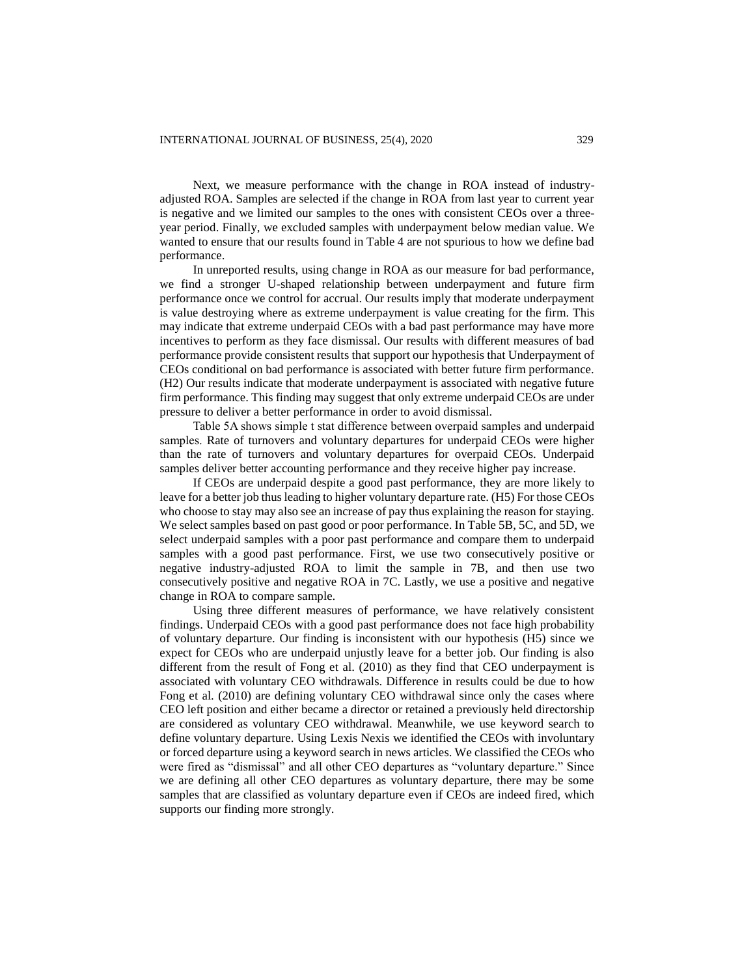Next, we measure performance with the change in ROA instead of industryadjusted ROA. Samples are selected if the change in ROA from last year to current year is negative and we limited our samples to the ones with consistent CEOs over a threeyear period. Finally, we excluded samples with underpayment below median value. We wanted to ensure that our results found in Table 4 are not spurious to how we define bad performance.

In unreported results, using change in ROA as our measure for bad performance, we find a stronger U-shaped relationship between underpayment and future firm performance once we control for accrual. Our results imply that moderate underpayment is value destroying where as extreme underpayment is value creating for the firm. This may indicate that extreme underpaid CEOs with a bad past performance may have more incentives to perform as they face dismissal. Our results with different measures of bad performance provide consistent results that support our hypothesis that Underpayment of CEOs conditional on bad performance is associated with better future firm performance. (H2) Our results indicate that moderate underpayment is associated with negative future firm performance. This finding may suggest that only extreme underpaid CEOs are under pressure to deliver a better performance in order to avoid dismissal.

Table 5A shows simple t stat difference between overpaid samples and underpaid samples. Rate of turnovers and voluntary departures for underpaid CEOs were higher than the rate of turnovers and voluntary departures for overpaid CEOs. Underpaid samples deliver better accounting performance and they receive higher pay increase.

If CEOs are underpaid despite a good past performance, they are more likely to leave for a better job thus leading to higher voluntary departure rate. (H5) For those CEOs who choose to stay may also see an increase of pay thus explaining the reason for staying. We select samples based on past good or poor performance. In Table 5B, 5C, and 5D, we select underpaid samples with a poor past performance and compare them to underpaid samples with a good past performance. First, we use two consecutively positive or negative industry-adjusted ROA to limit the sample in 7B, and then use two consecutively positive and negative ROA in 7C. Lastly, we use a positive and negative change in ROA to compare sample.

Using three different measures of performance, we have relatively consistent findings. Underpaid CEOs with a good past performance does not face high probability of voluntary departure. Our finding is inconsistent with our hypothesis (H5) since we expect for CEOs who are underpaid unjustly leave for a better job. Our finding is also different from the result of Fong et al. (2010) as they find that CEO underpayment is associated with voluntary CEO withdrawals. Difference in results could be due to how Fong et al. (2010) are defining voluntary CEO withdrawal since only the cases where CEO left position and either became a director or retained a previously held directorship are considered as voluntary CEO withdrawal. Meanwhile, we use keyword search to define voluntary departure. Using Lexis Nexis we identified the CEOs with involuntary or forced departure using a keyword search in news articles. We classified the CEOs who were fired as "dismissal" and all other CEO departures as "voluntary departure." Since we are defining all other CEO departures as voluntary departure, there may be some samples that are classified as voluntary departure even if CEOs are indeed fired, which supports our finding more strongly.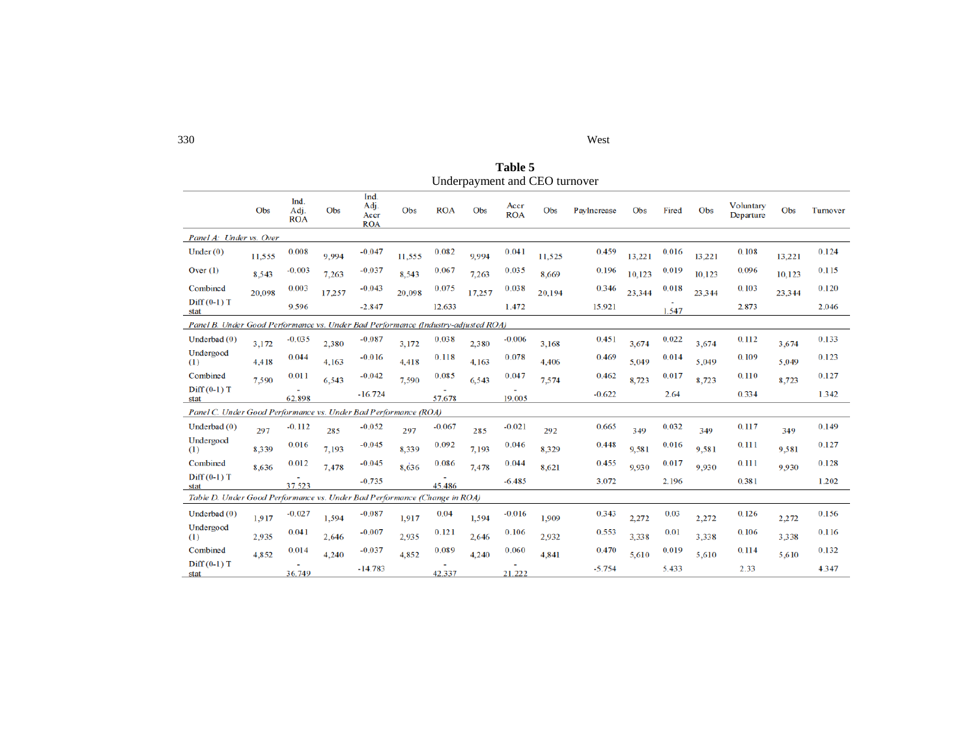| 330 | West |
|-----|------|
|-----|------|

**Table 5** Underpayment and CEO turnover

|                                                                                   | Obs    | Ind.<br>Adj.<br><b>ROA</b> | Obs    | Ind.<br>Adj.<br>Accr<br><b>ROA</b> | Obs    | <b>ROA</b> | Obs    | Accr<br><b>ROA</b> | Obs    | PavIncrease | Obs    | Fired | Obs    | Voluntary<br>Departure | Obs    | Turnover |
|-----------------------------------------------------------------------------------|--------|----------------------------|--------|------------------------------------|--------|------------|--------|--------------------|--------|-------------|--------|-------|--------|------------------------|--------|----------|
| Panel A: Under vs. Over                                                           |        |                            |        |                                    |        |            |        |                    |        |             |        |       |        |                        |        |          |
| Under $(0)$                                                                       | 11,555 | 0.008                      | 9,994  | $-0.047$                           | 11,555 | 0.082      | 9,994  | 0.041              | 11,525 | 0.459       | 13,221 | 0.016 | 13,221 | 0.108                  | 13,221 | 0.124    |
| Over $(1)$                                                                        | 8,543  | $-0.003$                   | 7,263  | $-0.037$                           | 8,543  | 0.067      | 7,263  | 0.035              | 8.669  | 0.196       | 10,123 | 0.019 | 10,123 | 0.096                  | 10,123 | 0.115    |
| Combined                                                                          | 20.098 | 0.003                      | 17,257 | $-0.043$                           | 20.098 | 0.075      | 17,257 | 0.038              | 20,194 | 0.346       | 23,344 | 0.018 | 23,344 | 0.103                  | 23,344 | 0.120    |
| $Diff(0-1)T$<br>stat                                                              |        | 9.596                      |        | $-2.847$                           |        | 12.633     |        | 1.472              |        | 15.921      |        | 1.547 |        | 2.873                  |        | 2.046    |
| Panel B. Under Good Performance vs. Under Bad Performance (Industry-adjusted ROA) |        |                            |        |                                    |        |            |        |                    |        |             |        |       |        |                        |        |          |
| Underbad $(0)$                                                                    | 3,172  | $-0.035$                   | 2,380  | $-0.087$                           | 3,172  | 0.038      | 2,380  | $-0.006$           | 3,168  | 0.451       | 3,674  | 0.022 | 3,674  | 0.112                  | 3,674  | 0.133    |
| Undergood<br>(1)                                                                  | 4,418  | 0.044                      | 4,163  | $-0.016$                           | 4.418  | 0.118      | 4,163  | 0.078              | 4,406  | 0.469       | 5,049  | 0.014 | 5.049  | 0.109                  | 5,049  | 0.123    |
| Combined                                                                          | 7.590  | 0.011                      | 6,543  | $-0.042$                           | 7,590  | 0.085      | 6,543  | 0.047              | 7,574  | 0.462       | 8,723  | 0.017 | 8,723  | 0.110                  | 8,723  | 0.127    |
| $Diff(0-1)T$<br>stat                                                              |        | 62.898                     |        | $-16.724$                          |        | 57.678     |        | ٠<br>19.005        |        | $-0.622$    |        | 2.64  |        | 0.334                  |        | 1.342    |
| Panel C. Under Good Performance vs. Under Bad Performance (ROA)                   |        |                            |        |                                    |        |            |        |                    |        |             |        |       |        |                        |        |          |
| Underbad $(0)$                                                                    | 297    | $-0.112$                   | 285    | $-0.052$                           | 297    | $-0.067$   | 285    | $-0.021$           | 292    | 0.665       | 349    | 0.032 | 349    | 0.117                  | 349    | 0.149    |
| Undergood<br>(1)                                                                  | 8.339  | 0.016                      | 7.193  | $-0.045$                           | 8,339  | 0.092      | 7.193  | 0.046              | 8.329  | 0.448       | 9.581  | 0.016 | 9,581  | 0.111                  | 9.581  | 0.127    |
| Combined                                                                          | 8.636  | 0.012                      | 7,478  | $-0.045$                           | 8,636  | 0.086      | 7.478  | 0.044              | 8.621  | 0.455       | 9,930  | 0.017 | 9.930  | 0.111                  | 9.930  | 0.128    |
| $Diff(0-1)T$<br>stat                                                              |        | 37.523                     |        | $-0.735$                           |        | 45.486     |        | $-6.485$           |        | 3.072       |        | 2.196 |        | 0.381                  |        | 1.202    |
| Table D. Under Good Performance vs. Under Bad Performance (Change in ROA)         |        |                            |        |                                    |        |            |        |                    |        |             |        |       |        |                        |        |          |
| Underbad $(0)$                                                                    | 1.917  | $-0.027$                   | 1,594  | $-0.087$                           | 1.917  | 0.04       | 1,594  | $-0.016$           | 1.909  | 0.343       | 2,272  | 0.03  | 2,272  | 0.126                  | 2,272  | 0.156    |
| Undergood<br>(1)                                                                  | 2,935  | 0.041                      | 2,646  | $-0.007$                           | 2,935  | 0.121      | 2,646  | 0.106              | 2,932  | 0.553       | 3,338  | 0.01  | 3,338  | 0.106                  | 3,338  | 0.116    |
| Combined                                                                          | 4,852  | 0.014                      | 4,240  | $-0.037$                           | 4,852  | 0.089      | 4,240  | 0.060              | 4,841  | 0.470       | 5,610  | 0.019 | 5,610  | 0.114                  | 5,610  | 0.132    |
| $Diff(0-1)T$<br>stat                                                              |        | 36.749                     |        | $-14.783$                          |        | 42.337     |        | 21.222             |        | $-5.754$    |        | 5.433 |        | 2.33                   |        | 4.347    |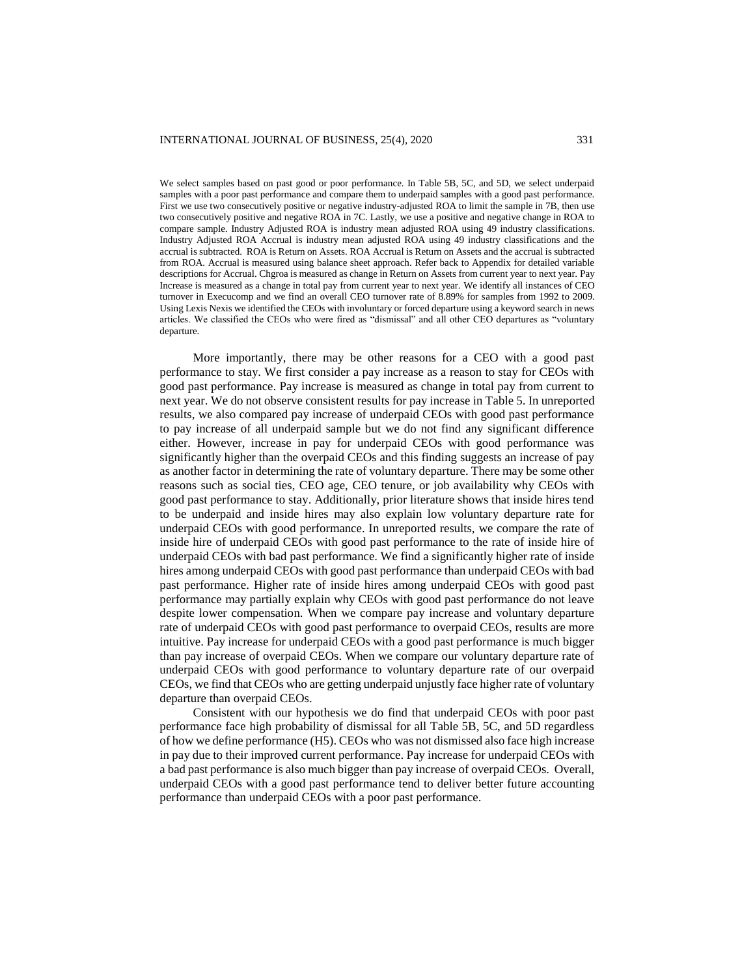We select samples based on past good or poor performance. In Table 5B, 5C, and 5D, we select underpaid samples with a poor past performance and compare them to underpaid samples with a good past performance. First we use two consecutively positive or negative industry-adjusted ROA to limit the sample in 7B, then use two consecutively positive and negative ROA in 7C. Lastly, we use a positive and negative change in ROA to compare sample. Industry Adjusted ROA is industry mean adjusted ROA using 49 industry classifications. Industry Adjusted ROA Accrual is industry mean adjusted ROA using 49 industry classifications and the accrual is subtracted. ROA is Return on Assets. ROA Accrual is Return on Assets and the accrual is subtracted from ROA. Accrual is measured using balance sheet approach. Refer back to Appendix for detailed variable descriptions for Accrual. Cheroa is measured as change in Return on Assets from current year to next year. Pay Increase is measured as a change in total pay from current year to next year. We identify all instances of CEO turnover in Execucomp and we find an overall CEO turnover rate of 8.89% for samples from 1992 to 2009. Using Lexis Nexis we identified the CEOs with involuntary or forced departure using a keyword search in news articles. We classified the CEOs who were fired as "dismissal" and all other CEO departures as "voluntary departure.

More importantly, there may be other reasons for a CEO with a good past performance to stay. We first consider a pay increase as a reason to stay for CEOs with good past performance. Pay increase is measured as change in total pay from current to next year. We do not observe consistent results for pay increase in Table 5. In unreported results, we also compared pay increase of underpaid CEOs with good past performance to pay increase of all underpaid sample but we do not find any significant difference either. However, increase in pay for underpaid CEOs with good performance was significantly higher than the overpaid CEOs and this finding suggests an increase of pay as another factor in determining the rate of voluntary departure. There may be some other reasons such as social ties, CEO age, CEO tenure, or job availability why CEOs with good past performance to stay. Additionally, prior literature shows that inside hires tend to be underpaid and inside hires may also explain low voluntary departure rate for underpaid CEOs with good performance. In unreported results, we compare the rate of inside hire of underpaid CEOs with good past performance to the rate of inside hire of underpaid CEOs with bad past performance. We find a significantly higher rate of inside hires among underpaid CEOs with good past performance than underpaid CEOs with bad past performance. Higher rate of inside hires among underpaid CEOs with good past performance may partially explain why CEOs with good past performance do not leave despite lower compensation. When we compare pay increase and voluntary departure rate of underpaid CEOs with good past performance to overpaid CEOs, results are more intuitive. Pay increase for underpaid CEOs with a good past performance is much bigger than pay increase of overpaid CEOs. When we compare our voluntary departure rate of underpaid CEOs with good performance to voluntary departure rate of our overpaid CEOs, we find that CEOs who are getting underpaid unjustly face higher rate of voluntary departure than overpaid CEOs.

Consistent with our hypothesis we do find that underpaid CEOs with poor past performance face high probability of dismissal for all Table 5B, 5C, and 5D regardless of how we define performance (H5). CEOs who was not dismissed also face high increase in pay due to their improved current performance. Pay increase for underpaid CEOs with a bad past performance is also much bigger than pay increase of overpaid CEOs. Overall, underpaid CEOs with a good past performance tend to deliver better future accounting performance than underpaid CEOs with a poor past performance.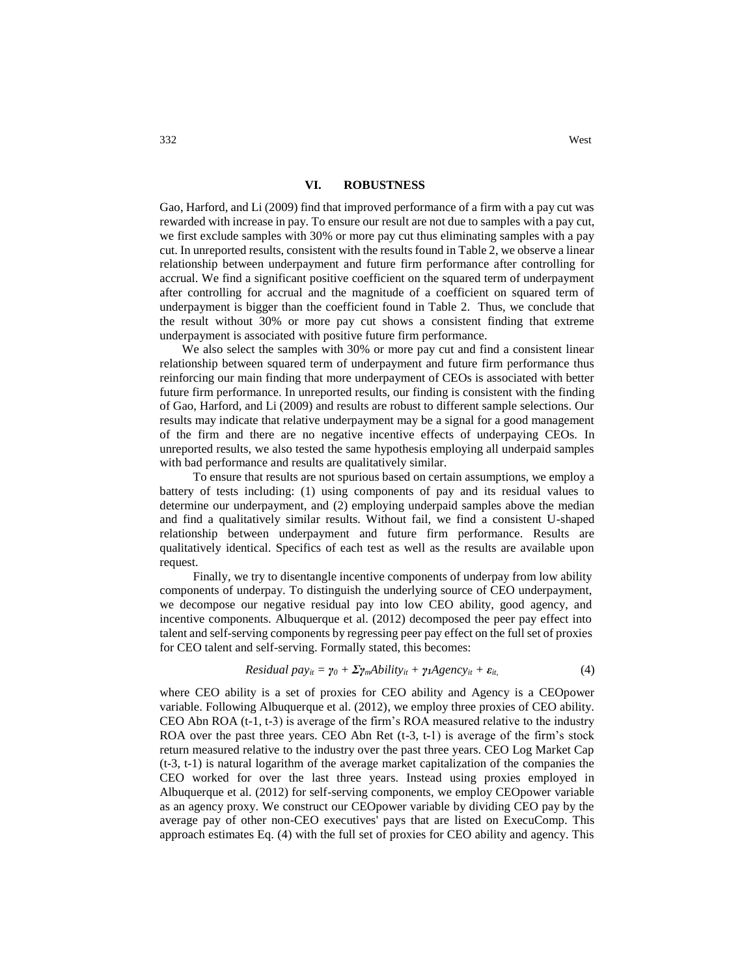Gao, Harford, and Li (2009) find that improved performance of a firm with a pay cut was rewarded with increase in pay. To ensure our result are not due to samples with a pay cut, we first exclude samples with 30% or more pay cut thus eliminating samples with a pay cut. In unreported results, consistent with the results found in Table 2, we observe a linear relationship between underpayment and future firm performance after controlling for accrual. We find a significant positive coefficient on the squared term of underpayment after controlling for accrual and the magnitude of a coefficient on squared term of underpayment is bigger than the coefficient found in Table 2. Thus, we conclude that the result without 30% or more pay cut shows a consistent finding that extreme underpayment is associated with positive future firm performance.

We also select the samples with 30% or more pay cut and find a consistent linear relationship between squared term of underpayment and future firm performance thus reinforcing our main finding that more underpayment of CEOs is associated with better future firm performance. In unreported results, our finding is consistent with the finding of Gao, Harford, and Li (2009) and results are robust to different sample selections. Our results may indicate that relative underpayment may be a signal for a good management of the firm and there are no negative incentive effects of underpaying CEOs. In unreported results, we also tested the same hypothesis employing all underpaid samples with bad performance and results are qualitatively similar.

To ensure that results are not spurious based on certain assumptions, we employ a battery of tests including: (1) using components of pay and its residual values to determine our underpayment, and (2) employing underpaid samples above the median and find a qualitatively similar results. Without fail, we find a consistent U-shaped relationship between underpayment and future firm performance. Results are qualitatively identical. Specifics of each test as well as the results are available upon request.

Finally, we try to disentangle incentive components of underpay from low ability components of underpay. To distinguish the underlying source of CEO underpayment, we decompose our negative residual pay into low CEO ability, good agency, and incentive components. Albuquerque et al. (2012) decomposed the peer pay effect into talent and self-serving components by regressing peer pay effect on the full set of proxies for CEO talent and self-serving. Formally stated, this becomes:

Residual 
$$
pay_{it} = \gamma_0 + \Sigma \gamma_m \Delta bility_{it} + \gamma_1 \Delta gency_{it} + \varepsilon_{it}
$$
 (4)

where CEO ability is a set of proxies for CEO ability and Agency is a CEOpower variable. Following Albuquerque et al. (2012), we employ three proxies of CEO ability. CEO Abn ROA (t-1, t-3) is average of the firm's ROA measured relative to the industry ROA over the past three years. CEO Abn Ret (t-3, t-1) is average of the firm's stock return measured relative to the industry over the past three years. CEO Log Market Cap (t-3, t-1) is natural logarithm of the average market capitalization of the companies the CEO worked for over the last three years. Instead using proxies employed in Albuquerque et al. (2012) for self-serving components, we employ CEOpower variable as an agency proxy. We construct our CEOpower variable by dividing CEO pay by the average pay of other non-CEO executives' pays that are listed on ExecuComp. This approach estimates Eq. (4) with the full set of proxies for CEO ability and agency. This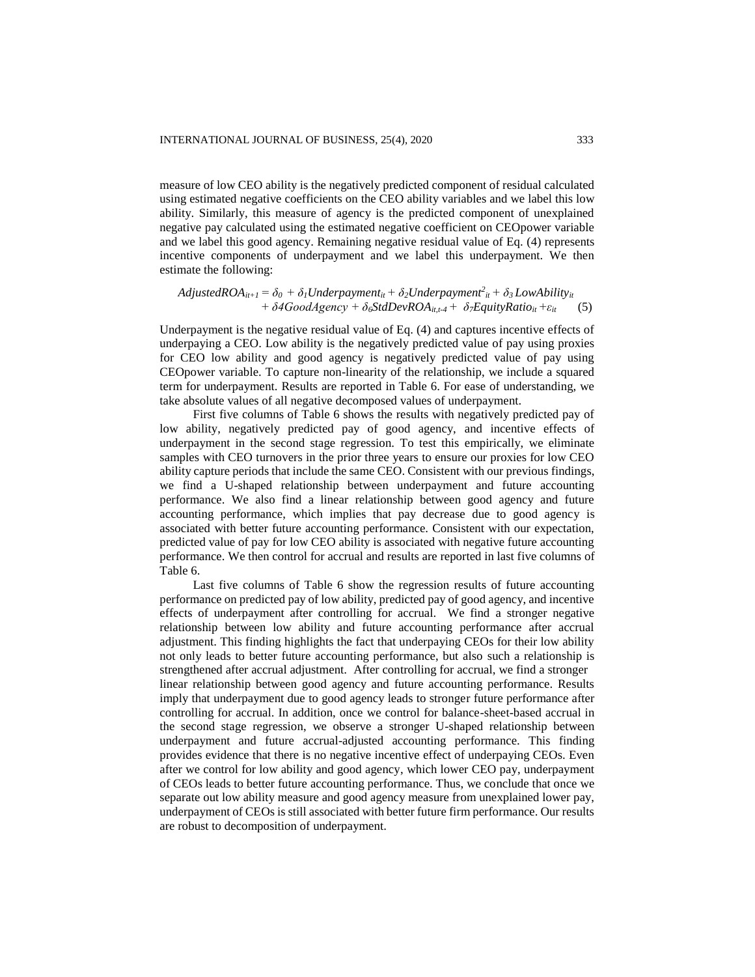measure of low CEO ability is the negatively predicted component of residual calculated using estimated negative coefficients on the CEO ability variables and we label this low ability. Similarly, this measure of agency is the predicted component of unexplained negative pay calculated using the estimated negative coefficient on CEOpower variable and we label this good agency. Remaining negative residual value of Eq. (4) represents incentive components of underpayment and we label this underpayment. We then estimate the following:

$$
AdjustedROA_{it+1} = \delta_0 + \delta_1 Underpayment_{it} + \delta_2 Underpayment_{it}^2 + \delta_3 Low Ability_{it} + \delta 4 Good Agency + \delta_6 StdDevROA_{it,t-4} + \delta_7 EquityRatio_{it} + \varepsilon_{it}
$$
 (5)

Underpayment is the negative residual value of Eq. (4) and captures incentive effects of underpaying a CEO. Low ability is the negatively predicted value of pay using proxies for CEO low ability and good agency is negatively predicted value of pay using CEOpower variable. To capture non-linearity of the relationship, we include a squared term for underpayment. Results are reported in Table 6. For ease of understanding, we take absolute values of all negative decomposed values of underpayment.

First five columns of Table 6 shows the results with negatively predicted pay of low ability, negatively predicted pay of good agency, and incentive effects of underpayment in the second stage regression. To test this empirically, we eliminate samples with CEO turnovers in the prior three years to ensure our proxies for low CEO ability capture periods that include the same CEO. Consistent with our previous findings, we find a U-shaped relationship between underpayment and future accounting performance. We also find a linear relationship between good agency and future accounting performance, which implies that pay decrease due to good agency is associated with better future accounting performance. Consistent with our expectation, predicted value of pay for low CEO ability is associated with negative future accounting performance. We then control for accrual and results are reported in last five columns of Table 6.

Last five columns of Table 6 show the regression results of future accounting performance on predicted pay of low ability, predicted pay of good agency, and incentive effects of underpayment after controlling for accrual. We find a stronger negative relationship between low ability and future accounting performance after accrual adjustment. This finding highlights the fact that underpaying CEOs for their low ability not only leads to better future accounting performance, but also such a relationship is strengthened after accrual adjustment. After controlling for accrual, we find a stronger linear relationship between good agency and future accounting performance. Results imply that underpayment due to good agency leads to stronger future performance after controlling for accrual. In addition, once we control for balance-sheet-based accrual in the second stage regression, we observe a stronger U-shaped relationship between underpayment and future accrual-adjusted accounting performance. This finding provides evidence that there is no negative incentive effect of underpaying CEOs. Even after we control for low ability and good agency, which lower CEO pay, underpayment of CEOs leads to better future accounting performance. Thus, we conclude that once we separate out low ability measure and good agency measure from unexplained lower pay, underpayment of CEOs is still associated with better future firm performance. Our results are robust to decomposition of underpayment.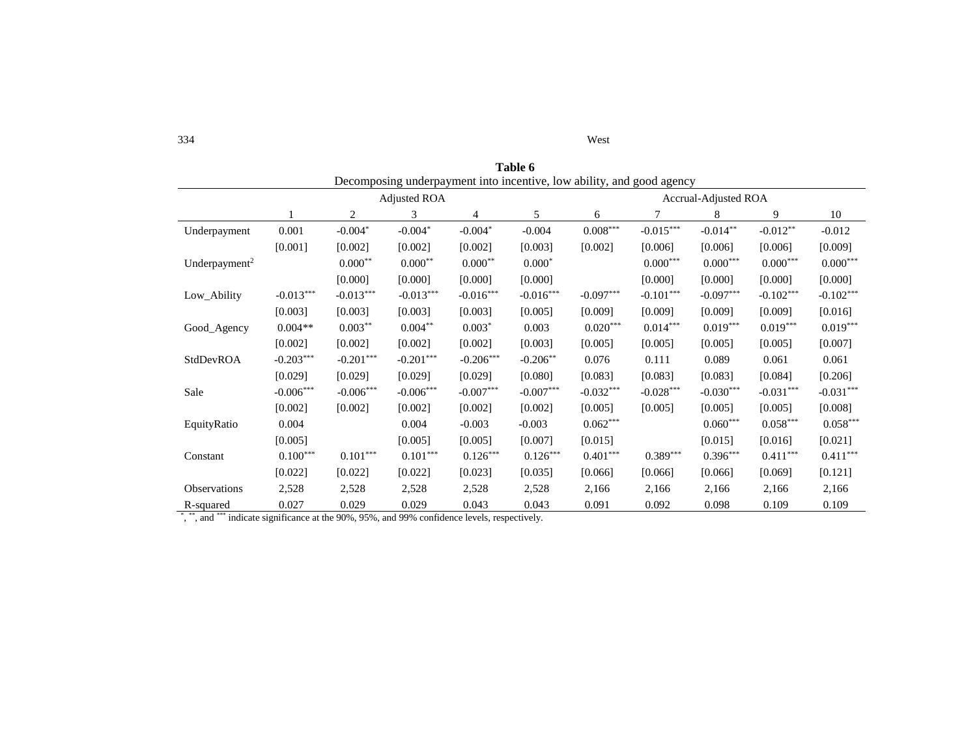| West |
|------|
|      |

| Table 6                   |                                                                       |                |                        |             |             |             |             |                      |             |             |  |
|---------------------------|-----------------------------------------------------------------------|----------------|------------------------|-------------|-------------|-------------|-------------|----------------------|-------------|-------------|--|
|                           | Decomposing underpayment into incentive, low ability, and good agency |                |                        |             |             |             |             |                      |             |             |  |
|                           |                                                                       |                | <b>Adjusted ROA</b>    |             |             |             |             | Accrual-Adjusted ROA |             |             |  |
|                           |                                                                       | $\overline{c}$ | 3                      | 4           | 5           | 6           | 7           | 8                    | 9           | 10          |  |
| Underpayment              | 0.001                                                                 | $-0.004*$      | $-0.004*$              | $-0.004*$   | $-0.004$    | $0.008***$  | $-0.015***$ | $-0.014***$          | $-0.012***$ | $-0.012$    |  |
|                           | [0.001]                                                               | [0.002]        | [0.002]                | [0.002]     | [0.003]     | [0.002]     | [0.006]     | [0.006]              | [0.006]     | [0.009]     |  |
| Underpayment <sup>2</sup> |                                                                       | $0.000**$      | $0.000**$              | $0.000**$   | $0.000*$    |             | $0.000***$  | $0.000***$           | $0.000***$  | $0.000***$  |  |
|                           |                                                                       | [0.000]        | [0.000]                | [0.000]     | [0.000]     |             | [0.000]     | [0.000]              | [0.000]     | [0.000]     |  |
| Low_Ability               | $-0.013***$                                                           | $-0.013***$    | $-0.013***$            | $-0.016***$ | $-0.016***$ | $-0.097***$ | $-0.101***$ | $-0.097***$          | $-0.102***$ | $-0.102***$ |  |
|                           | [0.003]                                                               | [0.003]        | [0.003]                | [0.003]     | [0.005]     | [0.009]     | [0.009]     | [0.009]              | [0.009]     | [0.016]     |  |
| Good_Agency               | $0.004**$                                                             | $0.003***$     | $0.004***$             | $0.003*$    | 0.003       | $0.020***$  | $0.014***$  | $0.019***$           | $0.019***$  | $0.019***$  |  |
|                           | [0.002]                                                               | [0.002]        | [0.002]                | [0.002]     | [0.003]     | [0.005]     | [0.005]     | [0.005]              | [0.005]     | [0.007]     |  |
| StdDevROA                 | $-0.203***$                                                           | $-0.201***$    | $-0.201***$            | $-0.206***$ | $-0.206**$  | 0.076       | 0.111       | 0.089                | 0.061       | 0.061       |  |
|                           | [0.029]                                                               | [0.029]        | [0.029]                | [0.029]     | [0.080]     | [0.083]     | [0.083]     | [0.083]              | [0.084]     | [0.206]     |  |
| Sale                      | $-0.006^{***}\,$                                                      | $-0.006***$    | $-0.006***$            | $-0.007***$ | $-0.007***$ | $-0.032***$ | $-0.028***$ | $-0.030***$          | $-0.031***$ | $-0.031***$ |  |
|                           | [0.002]                                                               | [0.002]        | [0.002]                | [0.002]     | [0.002]     | [0.005]     | [0.005]     | [0.005]              | [0.005]     | [0.008]     |  |
| EquityRatio               | 0.004                                                                 |                | 0.004                  | $-0.003$    | $-0.003$    | $0.062***$  |             | $0.060***$           | $0.058***$  | $0.058***$  |  |
|                           | [0.005]                                                               |                | [0.005]                | [0.005]     | [0.007]     | [0.015]     |             | [0.015]              | [0.016]     | [0.021]     |  |
| Constant                  | $0.100***$                                                            | $0.101***$     | $0.101^{\ast\ast\ast}$ | $0.126***$  | $0.126***$  | $0.401***$  | $0.389***$  | $0.396***$           | $0.411***$  | $0.411***$  |  |
|                           | [0.022]                                                               | [0.022]        | [0.022]                | [0.023]     | [0.035]     | [0.066]     | [0.066]     | [0.066]              | [0.069]     | [0.121]     |  |
| Observations              | 2,528                                                                 | 2,528          | 2,528                  | 2,528       | 2,528       | 2,166       | 2,166       | 2,166                | 2,166       | 2,166       |  |
| R-squared                 | 0.027                                                                 | 0.029          | 0.029                  | 0.043       | 0.043       | 0.091       | 0.092       | 0.098                | 0.109       | 0.109       |  |

\*, \*\*, and \*\*\* indicate significance at the 90%, 95%, and 99% confidence levels, respectively.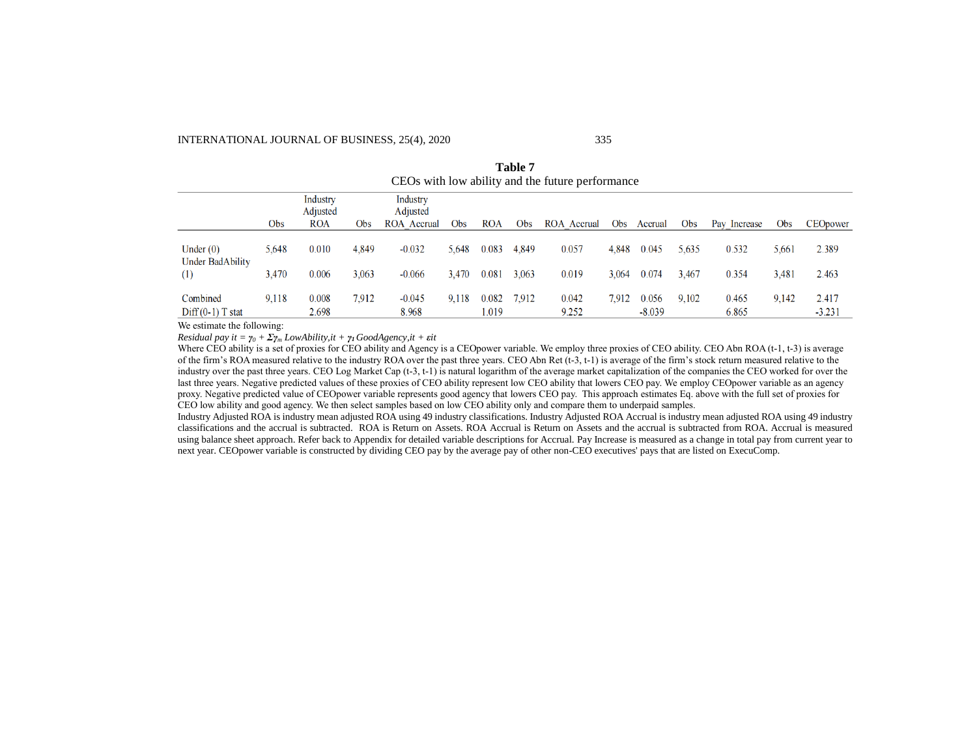#### INTERNATIONAL JOURNAL OF BUSINESS, 25(4), 2020 335

|                                | CEOs with low ability and the future performance |                                    |       |                                     |       |                |       |                |            |                   |            |                |            |                   |
|--------------------------------|--------------------------------------------------|------------------------------------|-------|-------------------------------------|-------|----------------|-------|----------------|------------|-------------------|------------|----------------|------------|-------------------|
|                                | Obs                                              | Industry<br>Adjusted<br><b>ROA</b> | Obs   | Industry<br>Adjusted<br>ROA Accrual | Obs   | <b>ROA</b>     | Obs   | ROA Accrual    | <b>Obs</b> | Accrual           | <b>Obs</b> | Pay Increase   | <b>Obs</b> | CEOpower          |
| Under $(0)$                    | 5.648                                            | 0.010                              | 4,849 | $-0.032$                            | 5.648 | 0.083          | 4,849 | 0.057          | 4.848      | 0.045             | 5.635      | 0.532          | 5.661      | 2.389             |
| <b>Under BadAbility</b><br>(1) | 3.470                                            | 0.006                              | 3.063 | $-0.066$                            | 3.470 | 0.081          | 3.063 | 0.019          | 3.064      | 0.074             | 3.467      | 0.354          | 3.481      | 2.463             |
| Combined<br>$Diff(0-1)$ T stat | 9.118                                            | 0.008<br>2.698                     | 7.912 | $-0.045$<br>8.968                   | 9.118 | 0.082<br>1.019 | 7.912 | 0.042<br>9.252 | 7.912      | 0.056<br>$-8.039$ | 9.102      | 0.465<br>6.865 | 9.142      | 2.417<br>$-3.231$ |

**Table 7**

We estimate the following:

*Residual pay it =*  $\gamma_0 + \sum_{m} I_0w$ *Ability,it +*  $\gamma_1$  *GoodAgency,it +*  $\epsilon$ *it* 

Where CEO ability is a set of proxies for CEO ability and Agency is a CEOpower variable. We employ three proxies of CEO ability. CEO Abn ROA (t-1, t-3) is average of the firm's ROA measured relative to the industry ROA over the past three years. CEO Abn Ret (t-3, t-1) is average of the firm's stock return measured relative to the industry over the past three years. CEO Log Market Cap (t-3, t-1) is natural logarithm of the average market capitalization of the companies the CEO worked for over the last three years. Negative predicted values of these proxies of CEO ability represent low CEO ability that lowers CEO pay. We employ CEOpower variable as an agency proxy. Negative predicted value of CEOpower variable represents good agency that lowers CEO pay. This approach estimates Eq. above with the full set of proxies for CEO low ability and good agency. We then select samples based on low CEO ability only and compare them to underpaid samples.

Industry Adjusted ROA is industry mean adjusted ROA using 49 industry classifications. Industry Adjusted ROA Accrual is industry mean adjusted ROA using 49 industry classifications and the accrual is subtracted. ROA is Return on Assets. ROA Accrual is Return on Assets and the accrual is subtracted from ROA. Accrual is measured using balance sheet approach. Refer back to Appendix for detailed variable descriptions for Accrual. Pay Increase is measured as a change in total pay from current year to next year. CEOpower variable is constructed by dividing CEO pay by the average pay of other non-CEO executives' pays that are listed on ExecuComp.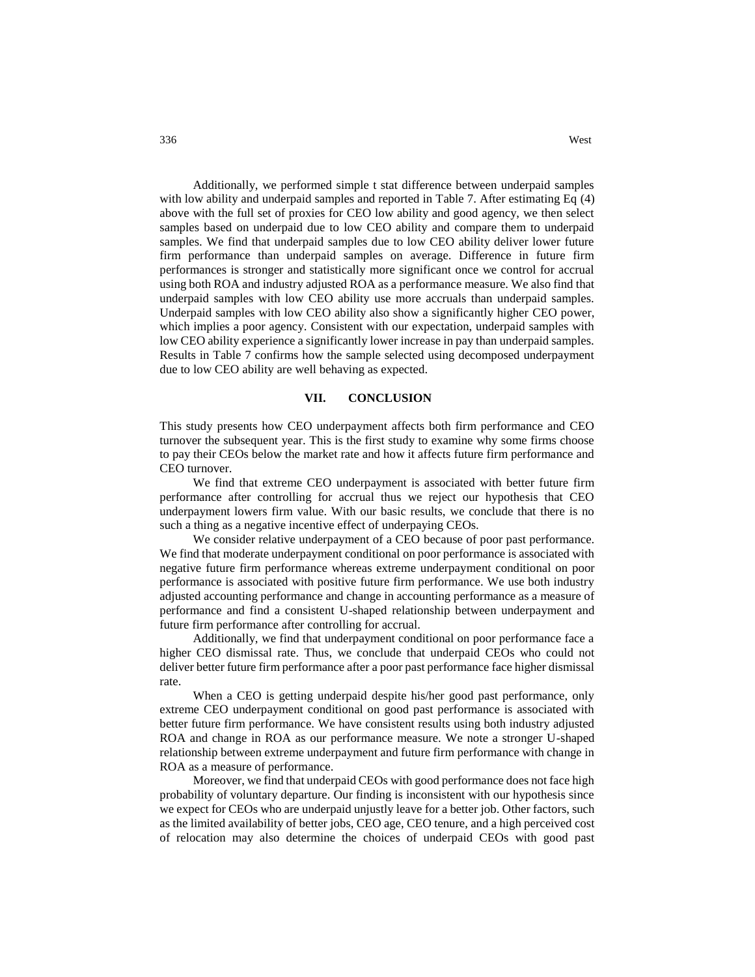Additionally, we performed simple t stat difference between underpaid samples with low ability and underpaid samples and reported in Table 7. After estimating Eq  $(4)$ above with the full set of proxies for CEO low ability and good agency, we then select samples based on underpaid due to low CEO ability and compare them to underpaid samples. We find that underpaid samples due to low CEO ability deliver lower future firm performance than underpaid samples on average. Difference in future firm performances is stronger and statistically more significant once we control for accrual using both ROA and industry adjusted ROA as a performance measure. We also find that underpaid samples with low CEO ability use more accruals than underpaid samples. Underpaid samples with low CEO ability also show a significantly higher CEO power, which implies a poor agency. Consistent with our expectation, underpaid samples with low CEO ability experience a significantly lower increase in pay than underpaid samples. Results in Table 7 confirms how the sample selected using decomposed underpayment due to low CEO ability are well behaving as expected.

### **VII. CONCLUSION**

This study presents how CEO underpayment affects both firm performance and CEO turnover the subsequent year. This is the first study to examine why some firms choose to pay their CEOs below the market rate and how it affects future firm performance and CEO turnover.

We find that extreme CEO underpayment is associated with better future firm performance after controlling for accrual thus we reject our hypothesis that CEO underpayment lowers firm value. With our basic results, we conclude that there is no such a thing as a negative incentive effect of underpaying CEOs.

We consider relative underpayment of a CEO because of poor past performance. We find that moderate underpayment conditional on poor performance is associated with negative future firm performance whereas extreme underpayment conditional on poor performance is associated with positive future firm performance. We use both industry adjusted accounting performance and change in accounting performance as a measure of performance and find a consistent U-shaped relationship between underpayment and future firm performance after controlling for accrual.

Additionally, we find that underpayment conditional on poor performance face a higher CEO dismissal rate. Thus, we conclude that underpaid CEOs who could not deliver better future firm performance after a poor past performance face higher dismissal rate.

When a CEO is getting underpaid despite his/her good past performance, only extreme CEO underpayment conditional on good past performance is associated with better future firm performance. We have consistent results using both industry adjusted ROA and change in ROA as our performance measure. We note a stronger U-shaped relationship between extreme underpayment and future firm performance with change in ROA as a measure of performance.

Moreover, we find that underpaid CEOs with good performance does not face high probability of voluntary departure. Our finding is inconsistent with our hypothesis since we expect for CEOs who are underpaid unjustly leave for a better job. Other factors, such as the limited availability of better jobs, CEO age, CEO tenure, and a high perceived cost of relocation may also determine the choices of underpaid CEOs with good past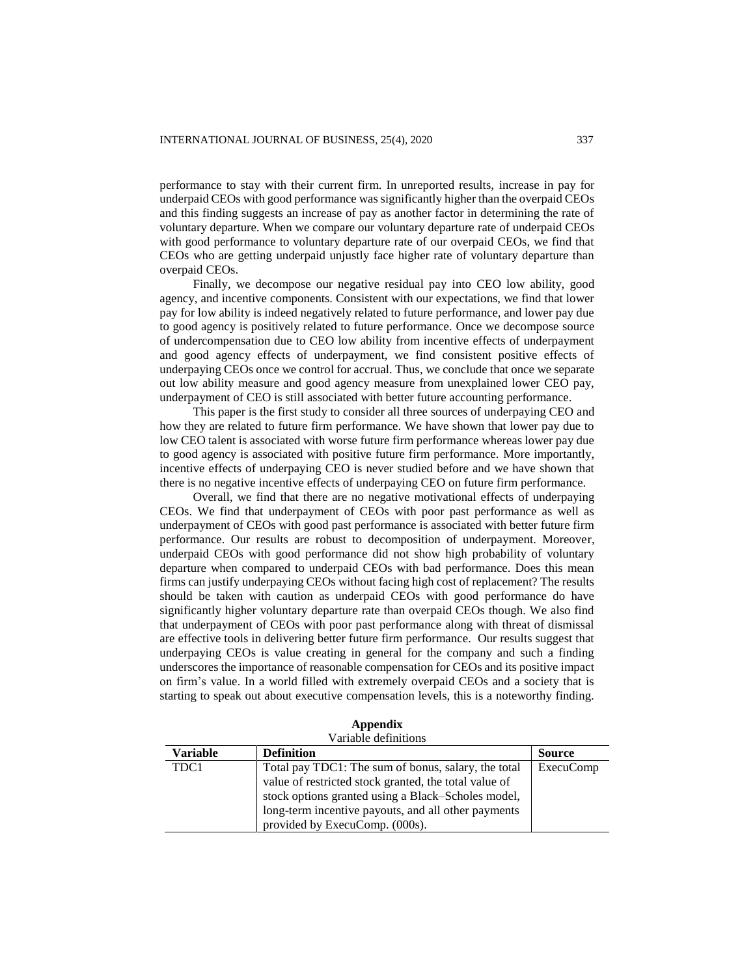performance to stay with their current firm. In unreported results, increase in pay for underpaid CEOs with good performance was significantly higher than the overpaid CEOs and this finding suggests an increase of pay as another factor in determining the rate of voluntary departure. When we compare our voluntary departure rate of underpaid CEOs with good performance to voluntary departure rate of our overpaid CEOs, we find that CEOs who are getting underpaid unjustly face higher rate of voluntary departure than overpaid CEOs.

Finally, we decompose our negative residual pay into CEO low ability, good agency, and incentive components. Consistent with our expectations, we find that lower pay for low ability is indeed negatively related to future performance, and lower pay due to good agency is positively related to future performance. Once we decompose source of undercompensation due to CEO low ability from incentive effects of underpayment and good agency effects of underpayment, we find consistent positive effects of underpaying CEOs once we control for accrual. Thus, we conclude that once we separate out low ability measure and good agency measure from unexplained lower CEO pay, underpayment of CEO is still associated with better future accounting performance.

This paper is the first study to consider all three sources of underpaying CEO and how they are related to future firm performance. We have shown that lower pay due to low CEO talent is associated with worse future firm performance whereas lower pay due to good agency is associated with positive future firm performance. More importantly, incentive effects of underpaying CEO is never studied before and we have shown that there is no negative incentive effects of underpaying CEO on future firm performance.

Overall, we find that there are no negative motivational effects of underpaying CEOs. We find that underpayment of CEOs with poor past performance as well as underpayment of CEOs with good past performance is associated with better future firm performance. Our results are robust to decomposition of underpayment. Moreover, underpaid CEOs with good performance did not show high probability of voluntary departure when compared to underpaid CEOs with bad performance. Does this mean firms can justify underpaying CEOs without facing high cost of replacement? The results should be taken with caution as underpaid CEOs with good performance do have significantly higher voluntary departure rate than overpaid CEOs though. We also find that underpayment of CEOs with poor past performance along with threat of dismissal are effective tools in delivering better future firm performance. Our results suggest that underpaying CEOs is value creating in general for the company and such a finding underscores the importance of reasonable compensation for CEOs and its positive impact on firm's value. In a world filled with extremely overpaid CEOs and a society that is starting to speak out about executive compensation levels, this is a noteworthy finding.

Variable definitions **Variable Definition Source** TDC1 Total pay TDC1: The sum of bonus, salary, the total value of restricted stock granted, the total value of stock options granted using a Black–Scholes model, long-term incentive payouts, and all other payments provided by ExecuComp. (000s). ExecuComp

**Appendix**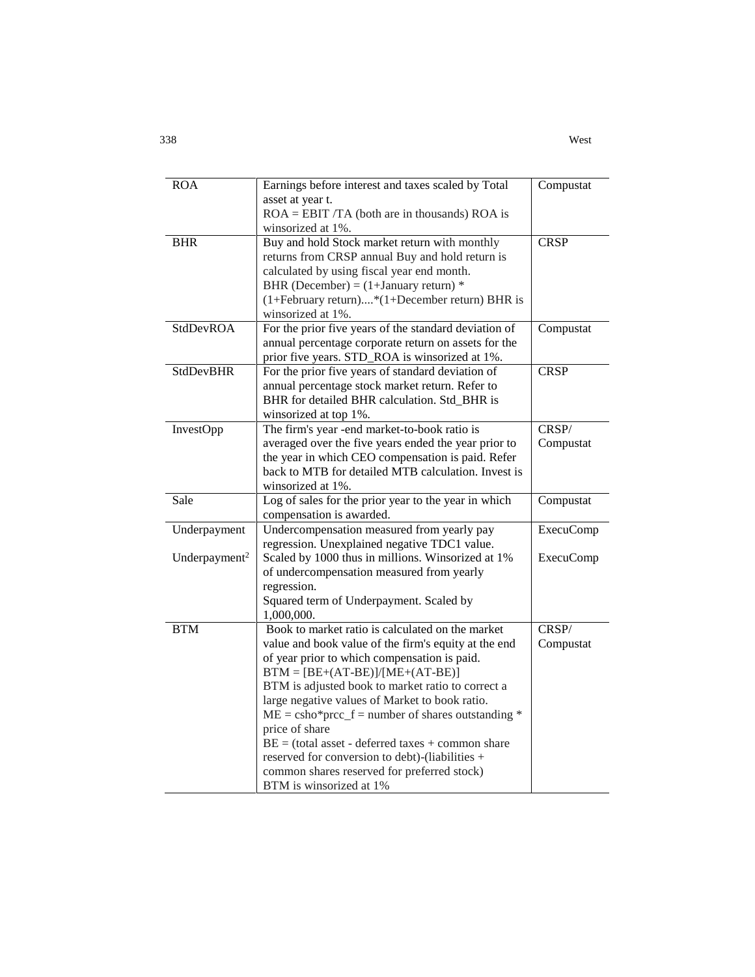| <b>ROA</b>                | Earnings before interest and taxes scaled by Total                                                  | Compustat        |
|---------------------------|-----------------------------------------------------------------------------------------------------|------------------|
|                           | asset at year t.<br>$ROA = EBIT/TA$ (both are in thousands) ROA is                                  |                  |
|                           | winsorized at 1%.                                                                                   |                  |
| <b>BHR</b>                | Buy and hold Stock market return with monthly                                                       | <b>CRSP</b>      |
|                           | returns from CRSP annual Buy and hold return is                                                     |                  |
|                           | calculated by using fiscal year end month.                                                          |                  |
|                           | BHR (December) = $(1+January$ return) *                                                             |                  |
|                           | (1+February return)*(1+December return) BHR is                                                      |                  |
|                           | winsorized at 1%.                                                                                   |                  |
| <b>StdDevROA</b>          | For the prior five years of the standard deviation of                                               |                  |
|                           |                                                                                                     | Compustat        |
|                           | annual percentage corporate return on assets for the                                                |                  |
| <b>StdDevBHR</b>          | prior five years. STD_ROA is winsorized at 1%.<br>For the prior five years of standard deviation of | <b>CRSP</b>      |
|                           |                                                                                                     |                  |
|                           | annual percentage stock market return. Refer to                                                     |                  |
|                           | BHR for detailed BHR calculation. Std_BHR is                                                        |                  |
|                           | winsorized at top 1%.                                                                               |                  |
| InvestOpp                 | The firm's year -end market-to-book ratio is                                                        | CRSP/            |
|                           | averaged over the five years ended the year prior to                                                | Compustat        |
|                           | the year in which CEO compensation is paid. Refer                                                   |                  |
|                           | back to MTB for detailed MTB calculation. Invest is                                                 |                  |
|                           | winsorized at 1%.                                                                                   |                  |
| Sale                      | Log of sales for the prior year to the year in which                                                | Compustat        |
|                           | compensation is awarded.                                                                            |                  |
| Underpayment              | Undercompensation measured from yearly pay                                                          | <b>ExecuComp</b> |
|                           | regression. Unexplained negative TDC1 value.                                                        |                  |
| Underpayment <sup>2</sup> | Scaled by 1000 thus in millions. Winsorized at 1%                                                   | <b>ExecuComp</b> |
|                           | of undercompensation measured from yearly                                                           |                  |
|                           | regression.                                                                                         |                  |
|                           | Squared term of Underpayment. Scaled by                                                             |                  |
|                           | 1,000,000.                                                                                          |                  |
| <b>BTM</b>                | Book to market ratio is calculated on the market                                                    | CRSP/            |
|                           | value and book value of the firm's equity at the end                                                | Compustat        |
|                           | of year prior to which compensation is paid.                                                        |                  |
|                           | $BTM = [BE+(AT-BE)]/[ME+(AT-BE)]$                                                                   |                  |
|                           | BTM is adjusted book to market ratio to correct a                                                   |                  |
|                           | large negative values of Market to book ratio.                                                      |                  |
|                           | $ME = \text{csho*prec_f} = \text{number of shares outstanding *}$                                   |                  |
|                           | price of share                                                                                      |                  |
|                           | $BE = (total asset - deferred taxes + common share)$                                                |                  |
|                           | reserved for conversion to debt)-(liabilities +                                                     |                  |
|                           | common shares reserved for preferred stock)                                                         |                  |
|                           | BTM is winsorized at 1%                                                                             |                  |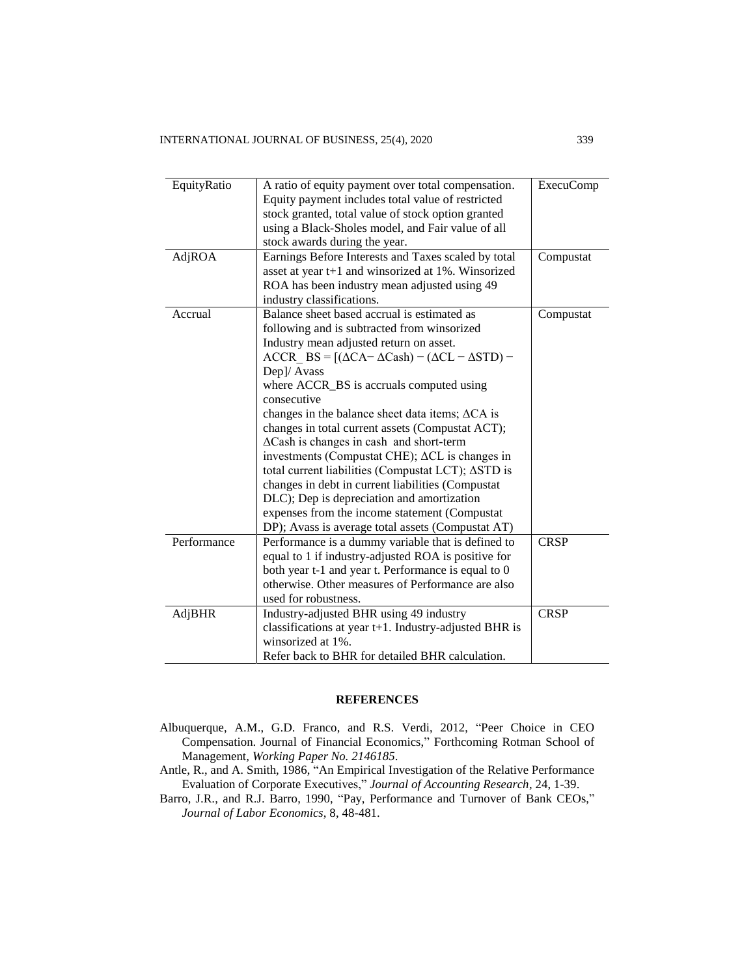| EquityRatio | A ratio of equity payment over total compensation.<br>Equity payment includes total value of restricted<br>stock granted, total value of stock option granted<br>using a Black-Sholes model, and Fair value of all<br>stock awards during the year.                                                                                                                                                                                                                                                                                                                                                                                                                                                                                                                                 | <b>ExecuComp</b> |
|-------------|-------------------------------------------------------------------------------------------------------------------------------------------------------------------------------------------------------------------------------------------------------------------------------------------------------------------------------------------------------------------------------------------------------------------------------------------------------------------------------------------------------------------------------------------------------------------------------------------------------------------------------------------------------------------------------------------------------------------------------------------------------------------------------------|------------------|
| AdjROA      | Earnings Before Interests and Taxes scaled by total<br>asset at year t+1 and winsorized at 1%. Winsorized<br>ROA has been industry mean adjusted using 49<br>industry classifications.                                                                                                                                                                                                                                                                                                                                                                                                                                                                                                                                                                                              | Compustat        |
| Accrual     | Balance sheet based accrual is estimated as<br>following and is subtracted from winsorized<br>Industry mean adjusted return on asset.<br>$ACCR$ BS = $[(\Delta CA - \Delta Cash) - (\Delta CL - \Delta STD) -$<br>Dep]/ Avass<br>where ACCR_BS is accruals computed using<br>consecutive<br>changes in the balance sheet data items; $\Delta$ CA is<br>changes in total current assets (Compustat ACT);<br>$\Delta$ Cash is changes in cash and short-term<br>investments (Compustat CHE); $\Delta CL$ is changes in<br>total current liabilities (Compustat LCT); ASTD is<br>changes in debt in current liabilities (Compustat<br>DLC); Dep is depreciation and amortization<br>expenses from the income statement (Compustat<br>DP); Avass is average total assets (Compustat AT) | Compustat        |
| Performance | Performance is a dummy variable that is defined to<br>equal to 1 if industry-adjusted ROA is positive for<br>both year t-1 and year t. Performance is equal to 0<br>otherwise. Other measures of Performance are also<br>used for robustness.                                                                                                                                                                                                                                                                                                                                                                                                                                                                                                                                       | <b>CRSP</b>      |
| AdjBHR      | Industry-adjusted BHR using 49 industry<br>classifications at year t+1. Industry-adjusted BHR is<br>winsorized at 1%.<br>Refer back to BHR for detailed BHR calculation.                                                                                                                                                                                                                                                                                                                                                                                                                                                                                                                                                                                                            | <b>CRSP</b>      |

### **REFERENCES**

- Albuquerque, A.M., G.D. Franco, and R.S. Verdi, 2012, "Peer Choice in CEO Compensation. Journal of Financial Economics," Forthcoming Rotman School of Management*, Working Paper No. 2146185*.
- Antle, R., and A. Smith, 1986, "An Empirical Investigation of the Relative Performance Evaluation of Corporate Executives," *Journal of Accounting Research*, 24, 1-39.
- Barro, J.R., and R.J. Barro, 1990, "Pay, Performance and Turnover of Bank CEOs," *Journal of Labor Economics*, 8, 48-481.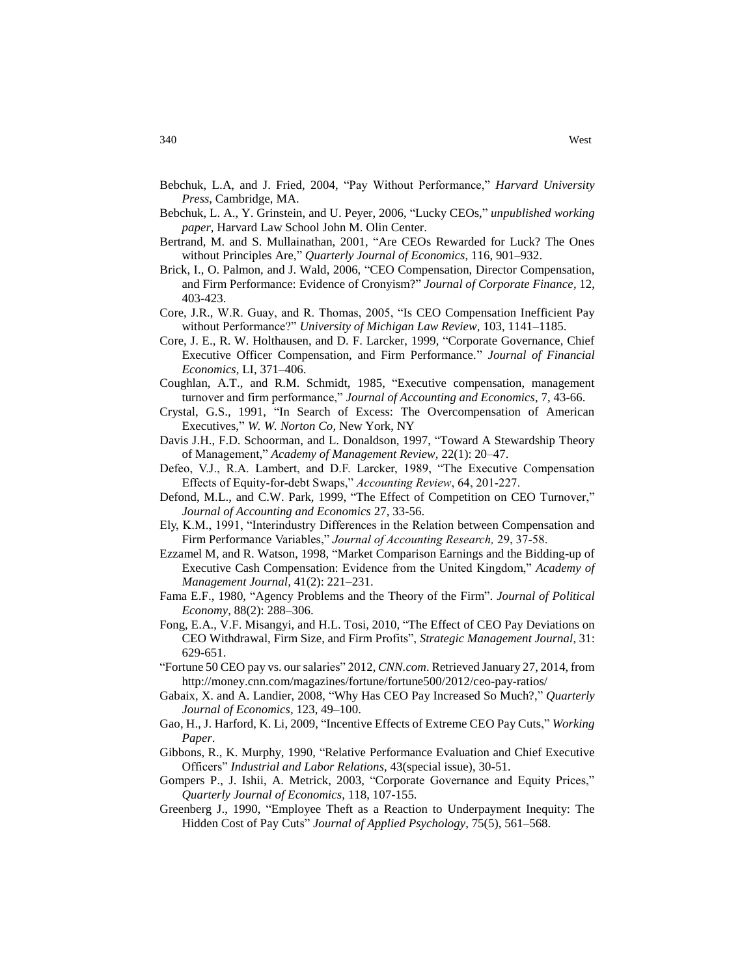- Bebchuk, L.A, and J. Fried, 2004, "Pay Without Performance," *Harvard University Press*, Cambridge, MA.
- Bebchuk, L. A., Y. Grinstein, and U. Peyer, 2006, "Lucky CEOs," *unpublished working paper*, Harvard Law School John M. Olin Center.
- Bertrand, M. and S. Mullainathan, 2001, "Are CEOs Rewarded for Luck? The Ones without Principles Are," *Quarterly Journal of Economics*, 116, 901–932.
- Brick, I., O. Palmon, and J. Wald, 2006, "CEO Compensation, Director Compensation, and Firm Performance: Evidence of Cronyism?" *Journal of Corporate Finance,* 12, 403-423.
- Core, J.R., W.R. Guay, and R. Thomas, 2005, "Is CEO Compensation Inefficient Pay without Performance?" *University of Michigan Law Review,* 103, 1141–1185.
- Core, J. E., R. W. Holthausen, and D. F. Larcker, 1999, "Corporate Governance, Chief Executive Officer Compensation, and Firm Performance." *Journal of Financial Economics,* LI, 371–406.
- Coughlan, A.T., and R.M. Schmidt, 1985, "Executive compensation, management turnover and firm performance," *Journal of Accounting and Economics*, 7, 43-66.
- Crystal, G.S., 1991, "In Search of Excess: The Overcompensation of American Executives," *W. W. Norton Co,* New York, NY
- Davis J.H., F.D. Schoorman, and L. Donaldson, 1997, "Toward A Stewardship Theory of Management," *Academy of Management Review,* 22(1): 20–47.
- Defeo, V.J., R.A. Lambert, and D.F. Larcker, 1989, "The Executive Compensation Effects of Equity-for-debt Swaps," *Accounting Review*, 64, 201-227.
- Defond, M.L., and C.W. Park, 1999, "The Effect of Competition on CEO Turnover," *Journal of Accounting and Economics* 27, 33-56.
- Ely, K.M., 1991, "Interindustry Differences in the Relation between Compensation and Firm Performance Variables," *Journal of Accounting Research,* 29, 37-58.
- Ezzamel M, and R. Watson, 1998, "Market Comparison Earnings and the Bidding-up of Executive Cash Compensation: Evidence from the United Kingdom," *Academy of Management Journal,* 41(2): 221–231.
- Fama E.F., 1980, "Agency Problems and the Theory of the Firm". *Journal of Political Economy,* 88(2): 288–306.
- Fong, E.A., V.F. Misangyi, and H.L. Tosi, 2010, "The Effect of CEO Pay Deviations on CEO Withdrawal, Firm Size, and Firm Profits", *Strategic Management Journal*, 31: 629-651.
- ["Fortune 50 CEO pay vs. our salaries" 2012,](http://money.cnn.com/magazines/fortune/fortune500/) *CNN.com*. Retrieved January 27, 2014, from <http://money.cnn.com/magazines/fortune/fortune500/2012/ceo-pay-ratios/>
- Gabaix, X. and A. Landier, 2008, "Why Has CEO Pay Increased So Much?," *Quarterly Journal of Economics,* 123, 49–100.
- Gao, H., J. Harford, K. Li, 2009, "Incentive Effects of Extreme CEO Pay Cuts," *Working Paper*.
- Gibbons, R., K. Murphy, 1990, "Relative Performance Evaluation and Chief Executive Officers" *Industrial and Labor Relations,* 43(special issue), 30-51.
- Gompers P., J. Ishii, A. Metrick, 2003, "Corporate Governance and Equity Prices," *Quarterly Journal of Economics*, 118, 107-155.
- Greenberg J., 1990, "Employee Theft as a Reaction to Underpayment Inequity: The Hidden Cost of Pay Cuts" *Journal of Applied Psychology*, 75(5), 561–568.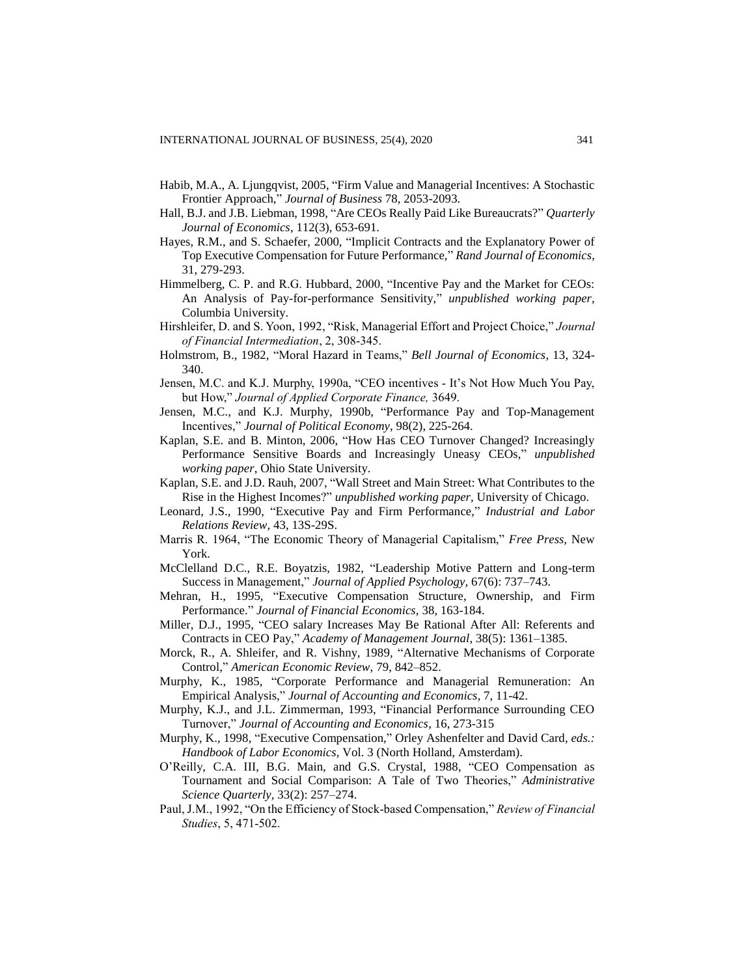- Habib, M.A., A. Ljungqvist, 2005, "Firm Value and Managerial Incentives: A Stochastic Frontier Approach," *Journal of Business* 78, 2053-2093.
- Hall, B.J. and J.B. Liebman, 1998, "Are CEOs Really Paid Like Bureaucrats?" *Quarterly Journal of Economics*, 112(3), 653-691.
- Hayes, R.M., and S. Schaefer, 2000, "Implicit Contracts and the Explanatory Power of Top Executive Compensation for Future Performance," *Rand Journal of Economics*, 31, 279-293.
- Himmelberg, C. P. and R.G. Hubbard, 2000, "Incentive Pay and the Market for CEOs: An Analysis of Pay-for-performance Sensitivity," *unpublished working paper,* Columbia University.
- Hirshleifer, D. and S. Yoon, 1992, "Risk, Managerial Effort and Project Choice," *Journal of Financial Intermediation*, 2, 308-345.
- Holmstrom, B., 1982, "Moral Hazard in Teams," *Bell Journal of Economics,* 13, 324- 340.
- Jensen, M.C. and K.J. Murphy, 1990a, "CEO incentives It's Not How Much You Pay, but How," *Journal of Applied Corporate Finance,* 3649.
- Jensen, M.C., and K.J. Murphy, 1990b, "Performance Pay and Top-Management Incentives," *Journal of Political Economy*, 98(2), 225-264.
- Kaplan, S.E. and B. Minton, 2006, "How Has CEO Turnover Changed? Increasingly Performance Sensitive Boards and Increasingly Uneasy CEOs," *unpublished working paper*, Ohio State University.
- Kaplan, S.E. and J.D. Rauh, 2007, "Wall Street and Main Street: What Contributes to the Rise in the Highest Incomes?" *unpublished working paper,* University of Chicago.
- Leonard, J.S., 1990, "Executive Pay and Firm Performance," *Industrial and Labor Relations Review*, 43, 13S-29S.
- Marris R. 1964, "The Economic Theory of Managerial Capitalism," *Free Press,* New York.
- McClelland D.C., R.E. Boyatzis, 1982, "Leadership Motive Pattern and Long-term Success in Management," *Journal of Applied Psychology,* 67(6): 737–743.
- Mehran, H., 1995, "Executive Compensation Structure, Ownership, and Firm Performance." *Journal of Financial Economics,* 38, 163-184.
- Miller, D.J., 1995, "CEO salary Increases May Be Rational After All: Referents and Contracts in CEO Pay," *Academy of Management Journal*, 38(5): 1361–1385.
- Morck, R., A. Shleifer, and R. Vishny, 1989, "Alternative Mechanisms of Corporate Control," *American Economic Review*, 79, 842–852.
- Murphy, K., 1985, "Corporate Performance and Managerial Remuneration: An Empirical Analysis," *Journal of Accounting and Economics,* 7, 11-42.
- Murphy, K.J., and J.L. Zimmerman, 1993, "Financial Performance Surrounding CEO Turnover," *Journal of Accounting and Economics*, 16, 273-315
- Murphy, K., 1998, "Executive Compensation," Orley Ashenfelter and David Card*, eds.: Handbook of Labor Economics,* Vol. 3 (North Holland, Amsterdam).
- O'Reilly, C.A. III, B.G. Main, and G.S. Crystal, 1988, "CEO Compensation as Tournament and Social Comparison: A Tale of Two Theories," *Administrative Science Quarterly,* 33(2): 257–274.
- Paul, J.M., 1992, "On the Efficiency of Stock-based Compensation," *Review of Financial Studies*, 5, 471-502.